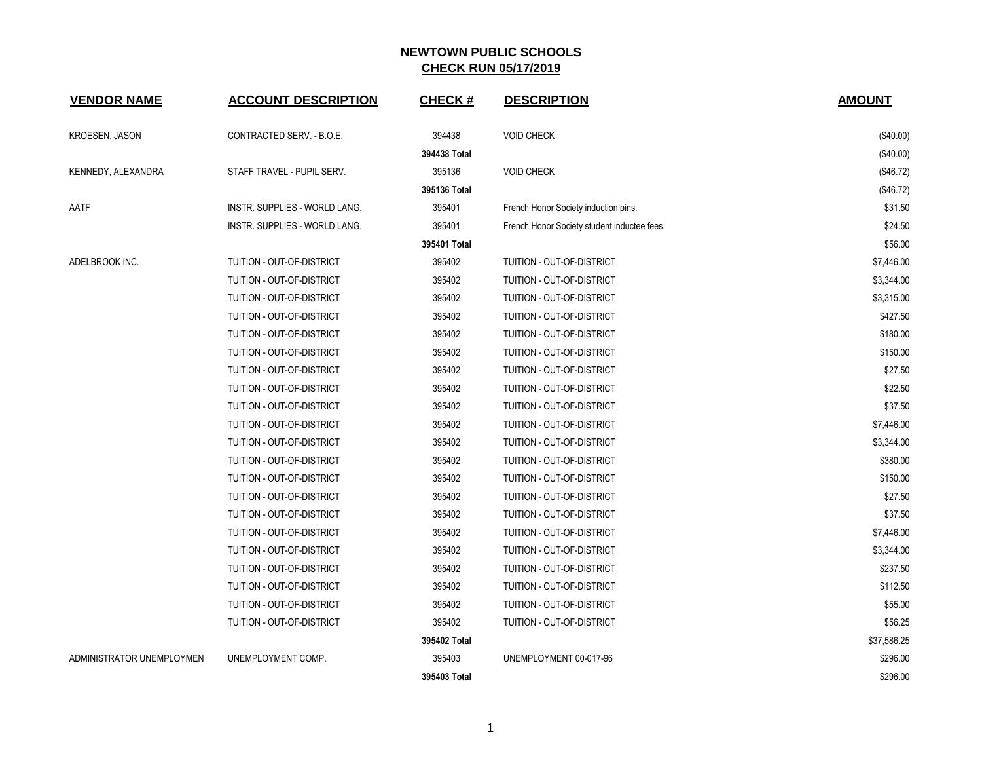| <b>VENDOR NAME</b>        | <b>ACCOUNT DESCRIPTION</b>    | <b>CHECK#</b> | <b>DESCRIPTION</b>                          | <b>AMOUNT</b> |
|---------------------------|-------------------------------|---------------|---------------------------------------------|---------------|
| <b>KROESEN, JASON</b>     | CONTRACTED SERV. - B.O.E.     | 394438        | <b>VOID CHECK</b>                           | (\$40.00)     |
|                           |                               | 394438 Total  |                                             | (\$40.00)     |
| KENNEDY, ALEXANDRA        | STAFF TRAVEL - PUPIL SERV.    | 395136        | <b>VOID CHECK</b>                           | (\$46.72)     |
|                           |                               | 395136 Total  |                                             | (\$46.72)     |
| AATF                      | INSTR. SUPPLIES - WORLD LANG. | 395401        | French Honor Society induction pins.        | \$31.50       |
|                           | INSTR. SUPPLIES - WORLD LANG. | 395401        | French Honor Society student inductee fees. | \$24.50       |
|                           |                               | 395401 Total  |                                             | \$56.00       |
| ADELBROOK INC.            | TUITION - OUT-OF-DISTRICT     | 395402        | TUITION - OUT-OF-DISTRICT                   | \$7,446.00    |
|                           | TUITION - OUT-OF-DISTRICT     | 395402        | TUITION - OUT-OF-DISTRICT                   | \$3,344.00    |
|                           | TUITION - OUT-OF-DISTRICT     | 395402        | TUITION - OUT-OF-DISTRICT                   | \$3,315.00    |
|                           | TUITION - OUT-OF-DISTRICT     | 395402        | TUITION - OUT-OF-DISTRICT                   | \$427.50      |
|                           | TUITION - OUT-OF-DISTRICT     | 395402        | TUITION - OUT-OF-DISTRICT                   | \$180.00      |
|                           | TUITION - OUT-OF-DISTRICT     | 395402        | TUITION - OUT-OF-DISTRICT                   | \$150.00      |
|                           | TUITION - OUT-OF-DISTRICT     | 395402        | TUITION - OUT-OF-DISTRICT                   | \$27.50       |
|                           | TUITION - OUT-OF-DISTRICT     | 395402        | TUITION - OUT-OF-DISTRICT                   | \$22.50       |
|                           | TUITION - OUT-OF-DISTRICT     | 395402        | TUITION - OUT-OF-DISTRICT                   | \$37.50       |
|                           | TUITION - OUT-OF-DISTRICT     | 395402        | TUITION - OUT-OF-DISTRICT                   | \$7,446.00    |
|                           | TUITION - OUT-OF-DISTRICT     | 395402        | TUITION - OUT-OF-DISTRICT                   | \$3,344.00    |
|                           | TUITION - OUT-OF-DISTRICT     | 395402        | TUITION - OUT-OF-DISTRICT                   | \$380.00      |
|                           | TUITION - OUT-OF-DISTRICT     | 395402        | TUITION - OUT-OF-DISTRICT                   | \$150.00      |
|                           | TUITION - OUT-OF-DISTRICT     | 395402        | TUITION - OUT-OF-DISTRICT                   | \$27.50       |
|                           | TUITION - OUT-OF-DISTRICT     | 395402        | TUITION - OUT-OF-DISTRICT                   | \$37.50       |
|                           | TUITION - OUT-OF-DISTRICT     | 395402        | TUITION - OUT-OF-DISTRICT                   | \$7,446.00    |
|                           | TUITION - OUT-OF-DISTRICT     | 395402        | TUITION - OUT-OF-DISTRICT                   | \$3,344.00    |
|                           | TUITION - OUT-OF-DISTRICT     | 395402        | TUITION - OUT-OF-DISTRICT                   | \$237.50      |
|                           | TUITION - OUT-OF-DISTRICT     | 395402        | TUITION - OUT-OF-DISTRICT                   | \$112.50      |
|                           | TUITION - OUT-OF-DISTRICT     | 395402        | TUITION - OUT-OF-DISTRICT                   | \$55.00       |
|                           | TUITION - OUT-OF-DISTRICT     | 395402        | TUITION - OUT-OF-DISTRICT                   | \$56.25       |
|                           |                               | 395402 Total  |                                             | \$37,586.25   |
| ADMINISTRATOR UNEMPLOYMEN | UNEMPLOYMENT COMP.            | 395403        | UNEMPLOYMENT 00-017-96                      | \$296.00      |
|                           |                               | 395403 Total  |                                             | \$296.00      |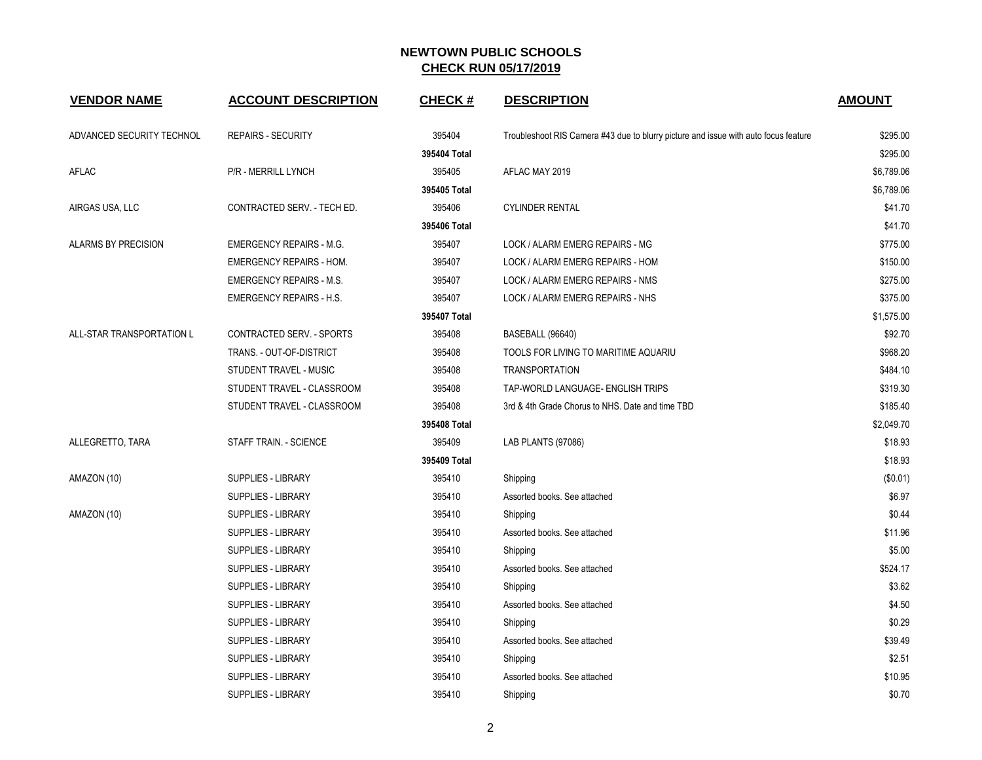| <b>VENDOR NAME</b>        | <b>ACCOUNT DESCRIPTION</b>      | <b>CHECK#</b> | <b>DESCRIPTION</b>                                                                  | <b>AMOUNT</b> |
|---------------------------|---------------------------------|---------------|-------------------------------------------------------------------------------------|---------------|
| ADVANCED SECURITY TECHNOL | <b>REPAIRS - SECURITY</b>       | 395404        | Troubleshoot RIS Camera #43 due to blurry picture and issue with auto focus feature | \$295.00      |
|                           |                                 | 395404 Total  |                                                                                     | \$295.00      |
| AFLAC                     | P/R - MERRILL LYNCH             | 395405        | AFLAC MAY 2019                                                                      | \$6,789.06    |
|                           |                                 | 395405 Total  |                                                                                     | \$6,789.06    |
| AIRGAS USA, LLC           | CONTRACTED SERV. - TECH ED.     | 395406        | <b>CYLINDER RENTAL</b>                                                              | \$41.70       |
|                           |                                 | 395406 Total  |                                                                                     | \$41.70       |
| ALARMS BY PRECISION       | <b>EMERGENCY REPAIRS - M.G.</b> | 395407        | LOCK / ALARM EMERG REPAIRS - MG                                                     | \$775.00      |
|                           | <b>EMERGENCY REPAIRS - HOM.</b> | 395407        | LOCK / ALARM EMERG REPAIRS - HOM                                                    | \$150.00      |
|                           | <b>EMERGENCY REPAIRS - M.S.</b> | 395407        | LOCK / ALARM EMERG REPAIRS - NMS                                                    | \$275.00      |
|                           | <b>EMERGENCY REPAIRS - H.S.</b> | 395407        | LOCK / ALARM EMERG REPAIRS - NHS                                                    | \$375.00      |
|                           |                                 | 395407 Total  |                                                                                     | \$1,575.00    |
| ALL-STAR TRANSPORTATION L | CONTRACTED SERV. - SPORTS       | 395408        | BASEBALL (96640)                                                                    | \$92.70       |
|                           | TRANS. - OUT-OF-DISTRICT        | 395408        | TOOLS FOR LIVING TO MARITIME AQUARIU                                                | \$968.20      |
|                           | STUDENT TRAVEL - MUSIC          | 395408        | <b>TRANSPORTATION</b>                                                               | \$484.10      |
|                           | STUDENT TRAVEL - CLASSROOM      | 395408        | TAP-WORLD LANGUAGE- ENGLISH TRIPS                                                   | \$319.30      |
|                           | STUDENT TRAVEL - CLASSROOM      | 395408        | 3rd & 4th Grade Chorus to NHS. Date and time TBD                                    | \$185.40      |
|                           |                                 | 395408 Total  |                                                                                     | \$2,049.70    |
| ALLEGRETTO, TARA          | STAFF TRAIN. - SCIENCE          | 395409        | LAB PLANTS (97086)                                                                  | \$18.93       |
|                           |                                 | 395409 Total  |                                                                                     | \$18.93       |
| AMAZON (10)               | <b>SUPPLIES - LIBRARY</b>       | 395410        | Shipping                                                                            | (S0.01)       |
|                           | <b>SUPPLIES - LIBRARY</b>       | 395410        | Assorted books. See attached                                                        | \$6.97        |
| AMAZON (10)               | <b>SUPPLIES - LIBRARY</b>       | 395410        | Shipping                                                                            | \$0.44        |
|                           | <b>SUPPLIES - LIBRARY</b>       | 395410        | Assorted books. See attached                                                        | \$11.96       |
|                           | <b>SUPPLIES - LIBRARY</b>       | 395410        | Shipping                                                                            | \$5.00        |
|                           | SUPPLIES - LIBRARY              | 395410        | Assorted books. See attached                                                        | \$524.17      |
|                           | SUPPLIES - LIBRARY              | 395410        | Shipping                                                                            | \$3.62        |
|                           | <b>SUPPLIES - LIBRARY</b>       | 395410        | Assorted books. See attached                                                        | \$4.50        |
|                           | <b>SUPPLIES - LIBRARY</b>       | 395410        | Shipping                                                                            | \$0.29        |
|                           | <b>SUPPLIES - LIBRARY</b>       | 395410        | Assorted books, See attached                                                        | \$39.49       |
|                           | SUPPLIES - LIBRARY              | 395410        | Shipping                                                                            | \$2.51        |
|                           | <b>SUPPLIES - LIBRARY</b>       | 395410        | Assorted books. See attached                                                        | \$10.95       |
|                           | SUPPLIES - LIBRARY              | 395410        | Shipping                                                                            | \$0.70        |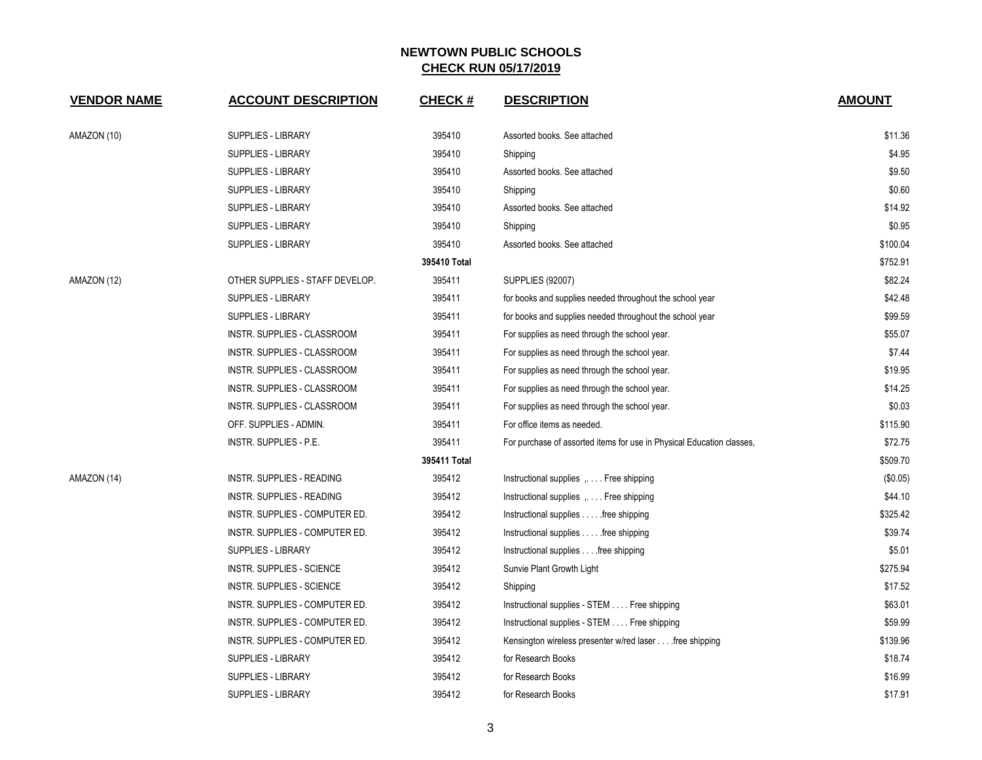| <b>VENDOR NAME</b> | <b>ACCOUNT DESCRIPTION</b>       | <b>CHECK#</b> | <b>DESCRIPTION</b>                                                    | <b>AMOUNT</b> |
|--------------------|----------------------------------|---------------|-----------------------------------------------------------------------|---------------|
| AMAZON (10)        | <b>SUPPLIES - LIBRARY</b>        | 395410        | Assorted books. See attached                                          | \$11.36       |
|                    | SUPPLIES - LIBRARY               | 395410        | Shipping                                                              | \$4.95        |
|                    | SUPPLIES - LIBRARY               | 395410        | Assorted books. See attached                                          | \$9.50        |
|                    | <b>SUPPLIES - LIBRARY</b>        | 395410        | Shipping                                                              | \$0.60        |
|                    | SUPPLIES - LIBRARY               | 395410        | Assorted books. See attached                                          | \$14.92       |
|                    | <b>SUPPLIES - LIBRARY</b>        | 395410        | Shipping                                                              | \$0.95        |
|                    | <b>SUPPLIES - LIBRARY</b>        | 395410        | Assorted books. See attached                                          | \$100.04      |
|                    |                                  | 395410 Total  |                                                                       | \$752.91      |
| AMAZON (12)        | OTHER SUPPLIES - STAFF DEVELOP.  | 395411        | <b>SUPPLIES (92007)</b>                                               | \$82.24       |
|                    | <b>SUPPLIES - LIBRARY</b>        | 395411        | for books and supplies needed throughout the school year              | \$42.48       |
|                    | <b>SUPPLIES - LIBRARY</b>        | 395411        | for books and supplies needed throughout the school year              | \$99.59       |
|                    | INSTR. SUPPLIES - CLASSROOM      | 395411        | For supplies as need through the school year.                         | \$55.07       |
|                    | INSTR. SUPPLIES - CLASSROOM      | 395411        | For supplies as need through the school year.                         | \$7.44        |
|                    | INSTR. SUPPLIES - CLASSROOM      | 395411        | For supplies as need through the school year.                         | \$19.95       |
|                    | INSTR. SUPPLIES - CLASSROOM      | 395411        | For supplies as need through the school year.                         | \$14.25       |
|                    | INSTR. SUPPLIES - CLASSROOM      | 395411        | For supplies as need through the school year.                         | \$0.03        |
|                    | OFF. SUPPLIES - ADMIN.           | 395411        | For office items as needed.                                           | \$115.90      |
|                    | <b>INSTR. SUPPLIES - P.E.</b>    | 395411        | For purchase of assorted items for use in Physical Education classes, | \$72.75       |
|                    |                                  | 395411 Total  |                                                                       | \$509.70      |
| AMAZON (14)        | INSTR. SUPPLIES - READING        | 395412        | Instructional supplies  Free shipping                                 | (\$0.05)      |
|                    | <b>INSTR. SUPPLIES - READING</b> | 395412        | Instructional supplies , Free shipping                                | \$44.10       |
|                    | INSTR. SUPPLIES - COMPUTER ED.   | 395412        | Instructional supplies free shipping                                  | \$325.42      |
|                    | INSTR. SUPPLIES - COMPUTER ED.   | 395412        | Instructional supplies free shipping                                  | \$39.74       |
|                    | SUPPLIES - LIBRARY               | 395412        | Instructional supplies free shipping                                  | \$5.01        |
|                    | <b>INSTR. SUPPLIES - SCIENCE</b> | 395412        | Sunvie Plant Growth Light                                             | \$275.94      |
|                    | INSTR. SUPPLIES - SCIENCE        | 395412        | Shipping                                                              | \$17.52       |
|                    | INSTR. SUPPLIES - COMPUTER ED.   | 395412        | Instructional supplies - STEM Free shipping                           | \$63.01       |
|                    | INSTR. SUPPLIES - COMPUTER ED.   | 395412        | Instructional supplies - STEM Free shipping                           | \$59.99       |
|                    | INSTR. SUPPLIES - COMPUTER ED.   | 395412        | Kensington wireless presenter w/red laser free shipping               | \$139.96      |
|                    | <b>SUPPLIES - LIBRARY</b>        | 395412        | for Research Books                                                    | \$18.74       |
|                    | SUPPLIES - LIBRARY               | 395412        | for Research Books                                                    | \$16.99       |
|                    | <b>SUPPLIES - LIBRARY</b>        | 395412        | for Research Books                                                    | \$17.91       |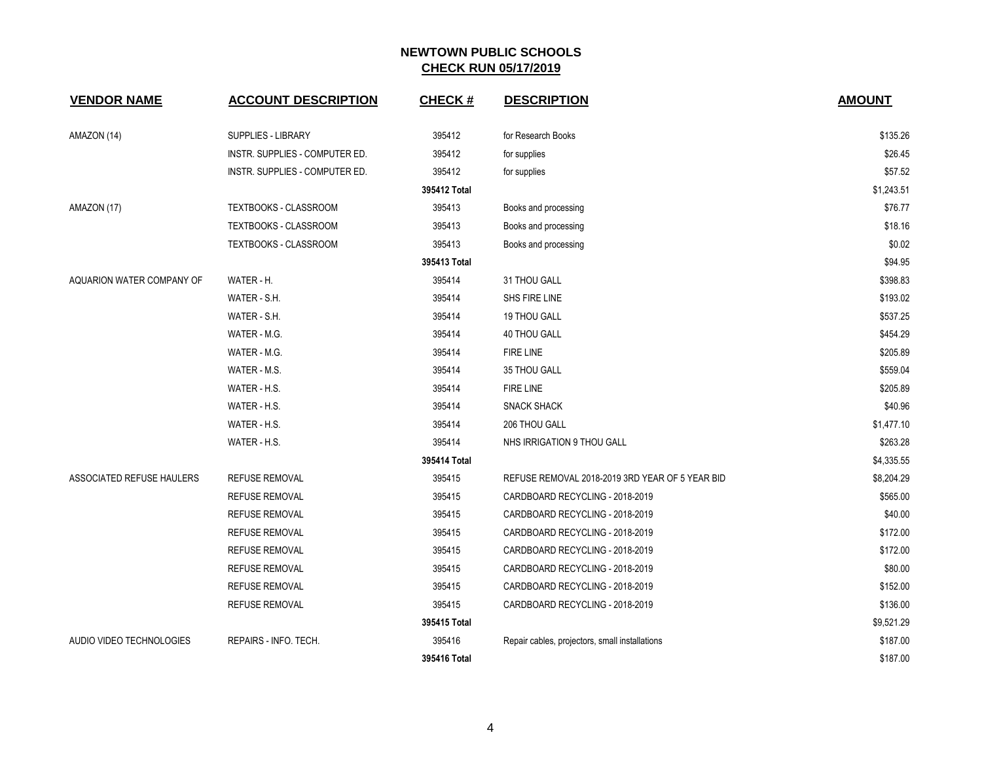| <b>VENDOR NAME</b>        | <b>ACCOUNT DESCRIPTION</b>     | <b>CHECK#</b> | <b>DESCRIPTION</b>                              | <b>AMOUNT</b> |
|---------------------------|--------------------------------|---------------|-------------------------------------------------|---------------|
| AMAZON (14)               | <b>SUPPLIES - LIBRARY</b>      | 395412        | for Research Books                              | \$135.26      |
|                           | INSTR. SUPPLIES - COMPUTER ED. | 395412        | for supplies                                    | \$26.45       |
|                           | INSTR. SUPPLIES - COMPUTER ED. | 395412        | for supplies                                    | \$57.52       |
|                           |                                | 395412 Total  |                                                 | \$1,243.51    |
| AMAZON (17)               | TEXTBOOKS - CLASSROOM          | 395413        | Books and processing                            | \$76.77       |
|                           | TEXTBOOKS - CLASSROOM          | 395413        | Books and processing                            | \$18.16       |
|                           | TEXTBOOKS - CLASSROOM          | 395413        | Books and processing                            | \$0.02        |
|                           |                                | 395413 Total  |                                                 | \$94.95       |
| AQUARION WATER COMPANY OF | WATER - H.                     | 395414        | 31 THOU GALL                                    | \$398.83      |
|                           | WATER - S.H.                   | 395414        | SHS FIRE LINE                                   | \$193.02      |
|                           | WATER - S.H.                   | 395414        | 19 THOU GALL                                    | \$537.25      |
|                           | WATER - M.G.                   | 395414        | <b>40 THOU GALL</b>                             | \$454.29      |
|                           | WATER - M.G.                   | 395414        | <b>FIRE LINE</b>                                | \$205.89      |
|                           | WATER - M.S.                   | 395414        | 35 THOU GALL                                    | \$559.04      |
|                           | WATER - H.S.                   | 395414        | <b>FIRE LINE</b>                                | \$205.89      |
|                           | WATER - H.S.                   | 395414        | <b>SNACK SHACK</b>                              | \$40.96       |
|                           | WATER - H.S.                   | 395414        | 206 THOU GALL                                   | \$1,477.10    |
|                           | WATER - H.S.                   | 395414        | NHS IRRIGATION 9 THOU GALL                      | \$263.28      |
|                           |                                | 395414 Total  |                                                 | \$4,335.55    |
| ASSOCIATED REFUSE HAULERS | <b>REFUSE REMOVAL</b>          | 395415        | REFUSE REMOVAL 2018-2019 3RD YEAR OF 5 YEAR BID | \$8,204.29    |
|                           | <b>REFUSE REMOVAL</b>          | 395415        | CARDBOARD RECYCLING - 2018-2019                 | \$565.00      |
|                           | <b>REFUSE REMOVAL</b>          | 395415        | CARDBOARD RECYCLING - 2018-2019                 | \$40.00       |
|                           | <b>REFUSE REMOVAL</b>          | 395415        | CARDBOARD RECYCLING - 2018-2019                 | \$172.00      |
|                           | <b>REFUSE REMOVAL</b>          | 395415        | CARDBOARD RECYCLING - 2018-2019                 | \$172.00      |
|                           | <b>REFUSE REMOVAL</b>          | 395415        | CARDBOARD RECYCLING - 2018-2019                 | \$80.00       |
|                           | <b>REFUSE REMOVAL</b>          | 395415        | CARDBOARD RECYCLING - 2018-2019                 | \$152.00      |
|                           | <b>REFUSE REMOVAL</b>          | 395415        | CARDBOARD RECYCLING - 2018-2019                 | \$136.00      |
|                           |                                | 395415 Total  |                                                 | \$9,521.29    |
| AUDIO VIDEO TECHNOLOGIES  | REPAIRS - INFO. TECH.          | 395416        | Repair cables, projectors, small installations  | \$187.00      |
|                           |                                | 395416 Total  |                                                 | \$187.00      |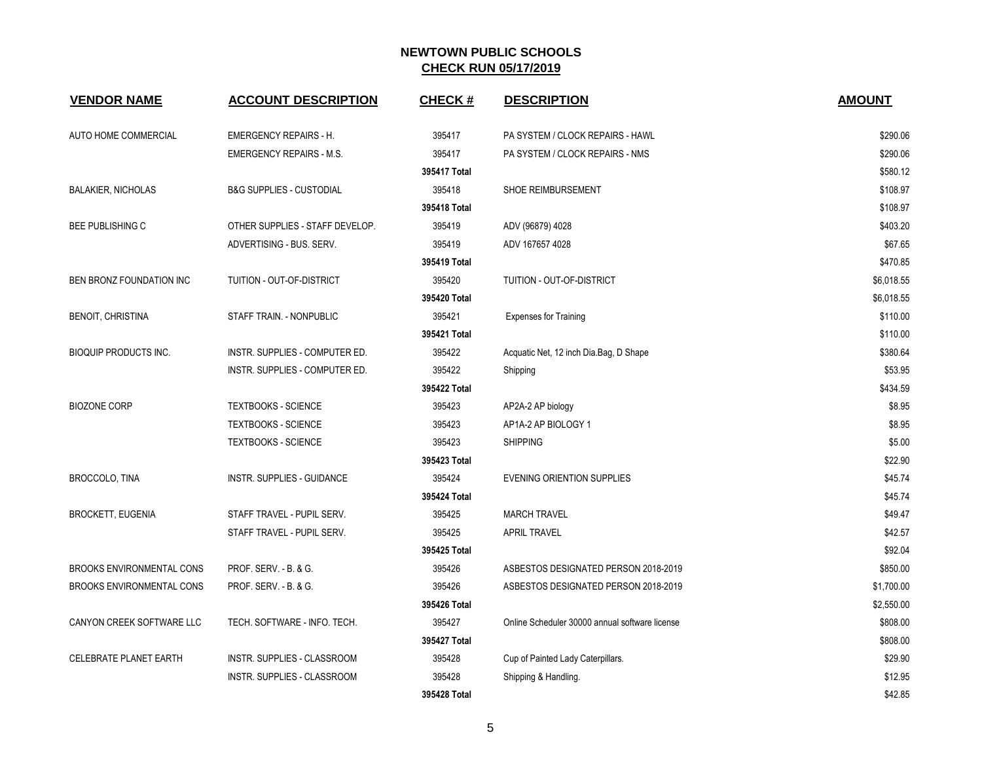| <b>VENDOR NAME</b>               | <b>ACCOUNT DESCRIPTION</b>          | <b>CHECK#</b> | <b>DESCRIPTION</b>                             | <b>AMOUNT</b> |
|----------------------------------|-------------------------------------|---------------|------------------------------------------------|---------------|
| <b>AUTO HOME COMMERCIAL</b>      | <b>EMERGENCY REPAIRS - H.</b>       | 395417        | PA SYSTEM / CLOCK REPAIRS - HAWL               | \$290.06      |
|                                  | <b>EMERGENCY REPAIRS - M.S.</b>     | 395417        | PA SYSTEM / CLOCK REPAIRS - NMS                | \$290.06      |
|                                  |                                     | 395417 Total  |                                                | \$580.12      |
| <b>BALAKIER, NICHOLAS</b>        | <b>B&amp;G SUPPLIES - CUSTODIAL</b> | 395418        | SHOE REIMBURSEMENT                             | \$108.97      |
|                                  |                                     | 395418 Total  |                                                | \$108.97      |
| <b>BEE PUBLISHING C</b>          | OTHER SUPPLIES - STAFF DEVELOP.     | 395419        | ADV (96879) 4028                               | \$403.20      |
|                                  | ADVERTISING - BUS. SERV.            | 395419        | ADV 167657 4028                                | \$67.65       |
|                                  |                                     | 395419 Total  |                                                | \$470.85      |
| BEN BRONZ FOUNDATION INC         | TUITION - OUT-OF-DISTRICT           | 395420        | TUITION - OUT-OF-DISTRICT                      | \$6,018.55    |
|                                  |                                     | 395420 Total  |                                                | \$6,018.55    |
| <b>BENOIT, CHRISTINA</b>         | STAFF TRAIN. - NONPUBLIC            | 395421        | <b>Expenses for Training</b>                   | \$110.00      |
|                                  |                                     | 395421 Total  |                                                | \$110.00      |
| <b>BIOQUIP PRODUCTS INC.</b>     | INSTR. SUPPLIES - COMPUTER ED.      | 395422        | Acquatic Net, 12 inch Dia.Bag, D Shape         | \$380.64      |
|                                  | INSTR. SUPPLIES - COMPUTER ED.      | 395422        | Shipping                                       | \$53.95       |
|                                  |                                     | 395422 Total  |                                                | \$434.59      |
| <b>BIOZONE CORP</b>              | <b>TEXTBOOKS - SCIENCE</b>          | 395423        | AP2A-2 AP biology                              | \$8.95        |
|                                  | <b>TEXTBOOKS - SCIENCE</b>          | 395423        | AP1A-2 AP BIOLOGY 1                            | \$8.95        |
|                                  | <b>TEXTBOOKS - SCIENCE</b>          | 395423        | <b>SHIPPING</b>                                | \$5.00        |
|                                  |                                     | 395423 Total  |                                                | \$22.90       |
| BROCCOLO, TINA                   | <b>INSTR. SUPPLIES - GUIDANCE</b>   | 395424        | <b>EVENING ORIENTION SUPPLIES</b>              | \$45.74       |
|                                  |                                     | 395424 Total  |                                                | \$45.74       |
| <b>BROCKETT, EUGENIA</b>         | STAFF TRAVEL - PUPIL SERV.          | 395425        | <b>MARCH TRAVEL</b>                            | \$49.47       |
|                                  | STAFF TRAVEL - PUPIL SERV.          | 395425        | <b>APRIL TRAVEL</b>                            | \$42.57       |
|                                  |                                     | 395425 Total  |                                                | \$92.04       |
| BROOKS ENVIRONMENTAL CONS        | PROF. SERV. - B. & G.               | 395426        | ASBESTOS DESIGNATED PERSON 2018-2019           | \$850.00      |
| <b>BROOKS ENVIRONMENTAL CONS</b> | PROF. SERV. - B. & G.               | 395426        | ASBESTOS DESIGNATED PERSON 2018-2019           | \$1,700.00    |
|                                  |                                     | 395426 Total  |                                                | \$2,550.00    |
| CANYON CREEK SOFTWARE LLC        | TECH. SOFTWARE - INFO. TECH.        | 395427        | Online Scheduler 30000 annual software license | \$808.00      |
|                                  |                                     | 395427 Total  |                                                | \$808.00      |
| CELEBRATE PLANET EARTH           | INSTR. SUPPLIES - CLASSROOM         | 395428        | Cup of Painted Lady Caterpillars.              | \$29.90       |
|                                  | INSTR. SUPPLIES - CLASSROOM         | 395428        | Shipping & Handling.                           | \$12.95       |
|                                  |                                     | 395428 Total  |                                                | \$42.85       |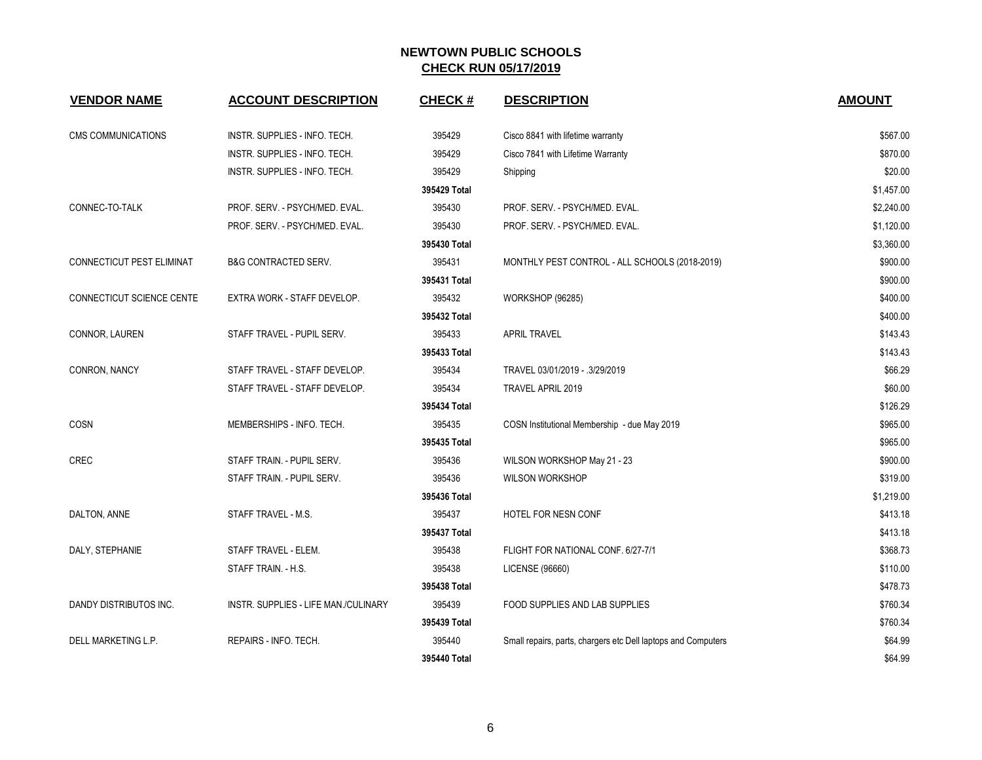| <b>VENDOR NAME</b>        | <b>ACCOUNT DESCRIPTION</b>           | <b>CHECK#</b> | <b>DESCRIPTION</b>                                            | <b>AMOUNT</b> |
|---------------------------|--------------------------------------|---------------|---------------------------------------------------------------|---------------|
| <b>CMS COMMUNICATIONS</b> | INSTR. SUPPLIES - INFO. TECH.        | 395429        | Cisco 8841 with lifetime warranty                             | \$567.00      |
|                           | INSTR. SUPPLIES - INFO. TECH.        | 395429        | Cisco 7841 with Lifetime Warranty                             | \$870.00      |
|                           | INSTR. SUPPLIES - INFO. TECH.        | 395429        | Shipping                                                      | \$20.00       |
|                           |                                      | 395429 Total  |                                                               | \$1,457.00    |
| CONNEC-TO-TALK            | PROF. SERV. - PSYCH/MED. EVAL.       | 395430        | PROF. SERV. - PSYCH/MED. EVAL.                                | \$2,240.00    |
|                           | PROF. SERV. - PSYCH/MED. EVAL.       | 395430        | PROF. SERV. - PSYCH/MED. EVAL.                                | \$1,120.00    |
|                           |                                      | 395430 Total  |                                                               | \$3,360.00    |
| CONNECTICUT PEST ELIMINAT | <b>B&amp;G CONTRACTED SERV.</b>      | 395431        | MONTHLY PEST CONTROL - ALL SCHOOLS (2018-2019)                | \$900.00      |
|                           |                                      | 395431 Total  |                                                               | \$900.00      |
| CONNECTICUT SCIENCE CENTE | EXTRA WORK - STAFF DEVELOP.          | 395432        | WORKSHOP (96285)                                              | \$400.00      |
|                           |                                      | 395432 Total  |                                                               | \$400.00      |
| CONNOR, LAUREN            | STAFF TRAVEL - PUPIL SERV.           | 395433        | <b>APRIL TRAVEL</b>                                           | \$143.43      |
|                           |                                      | 395433 Total  |                                                               | \$143.43      |
| CONRON, NANCY             | STAFF TRAVEL - STAFF DEVELOP.        | 395434        | TRAVEL 03/01/2019 - .3/29/2019                                | \$66.29       |
|                           | STAFF TRAVEL - STAFF DEVELOP.        | 395434        | TRAVEL APRIL 2019                                             | \$60.00       |
|                           |                                      | 395434 Total  |                                                               | \$126.29      |
| COSN                      | MEMBERSHIPS - INFO. TECH.            | 395435        | COSN Institutional Membership - due May 2019                  | \$965.00      |
|                           |                                      | 395435 Total  |                                                               | \$965.00      |
| CREC                      | STAFF TRAIN. - PUPIL SERV.           | 395436        | WILSON WORKSHOP May 21 - 23                                   | \$900.00      |
|                           | STAFF TRAIN. - PUPIL SERV.           | 395436        | <b>WILSON WORKSHOP</b>                                        | \$319.00      |
|                           |                                      | 395436 Total  |                                                               | \$1,219.00    |
| DALTON, ANNE              | STAFF TRAVEL - M.S.                  | 395437        | HOTEL FOR NESN CONF                                           | \$413.18      |
|                           |                                      | 395437 Total  |                                                               | \$413.18      |
| DALY, STEPHANIE           | STAFF TRAVEL - ELEM.                 | 395438        | FLIGHT FOR NATIONAL CONF. 6/27-7/1                            | \$368.73      |
|                           | STAFF TRAIN. - H.S.                  | 395438        | LICENSE (96660)                                               | \$110.00      |
|                           |                                      | 395438 Total  |                                                               | \$478.73      |
| DANDY DISTRIBUTOS INC.    | INSTR. SUPPLIES - LIFE MAN./CULINARY | 395439        | FOOD SUPPLIES AND LAB SUPPLIES                                | \$760.34      |
|                           |                                      | 395439 Total  |                                                               | \$760.34      |
| DELL MARKETING L.P.       | REPAIRS - INFO. TECH.                | 395440        | Small repairs, parts, chargers etc Dell laptops and Computers | \$64.99       |
|                           |                                      | 395440 Total  |                                                               | \$64.99       |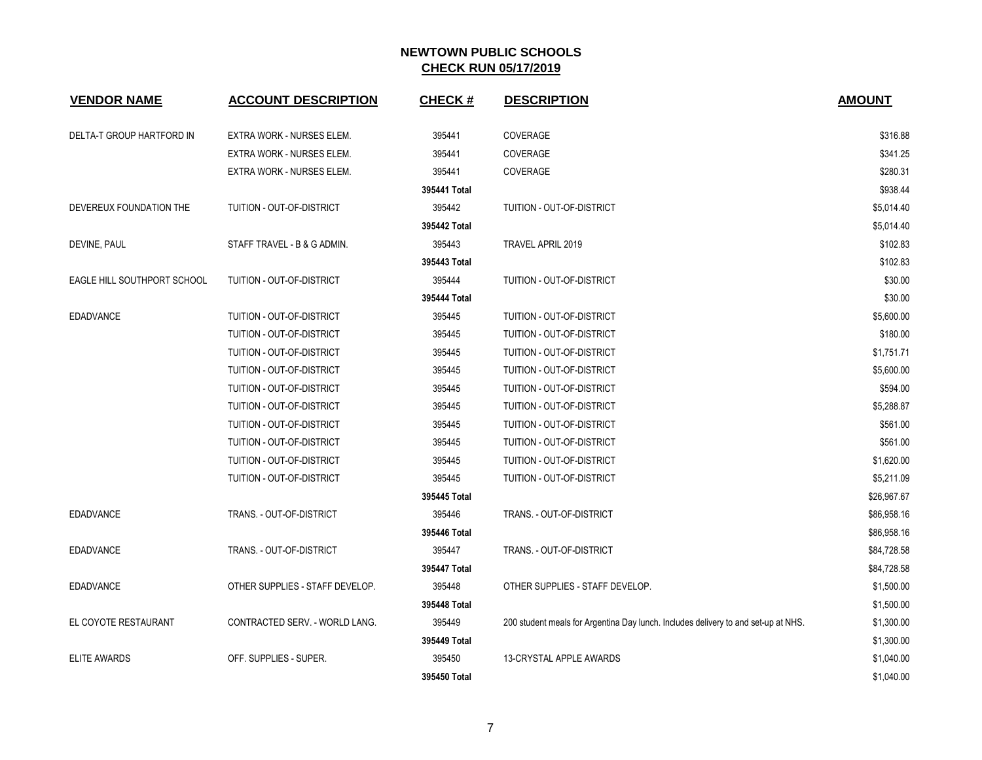| <b>VENDOR NAME</b>          | <b>ACCOUNT DESCRIPTION</b>       | <b>CHECK#</b> | <b>DESCRIPTION</b>                                                                 | <b>AMOUNT</b> |
|-----------------------------|----------------------------------|---------------|------------------------------------------------------------------------------------|---------------|
| DELTA-T GROUP HARTFORD IN   | <b>EXTRA WORK - NURSES ELEM.</b> | 395441        | COVERAGE                                                                           | \$316.88      |
|                             | <b>EXTRA WORK - NURSES ELEM.</b> | 395441        | COVERAGE                                                                           | \$341.25      |
|                             | EXTRA WORK - NURSES ELEM.        | 395441        | COVERAGE                                                                           | \$280.31      |
|                             |                                  | 395441 Total  |                                                                                    | \$938.44      |
| DEVEREUX FOUNDATION THE     | TUITION - OUT-OF-DISTRICT        | 395442        | TUITION - OUT-OF-DISTRICT                                                          | \$5,014.40    |
|                             |                                  | 395442 Total  |                                                                                    | \$5,014.40    |
| DEVINE, PAUL                | STAFF TRAVEL - B & G ADMIN.      | 395443        | TRAVEL APRIL 2019                                                                  | \$102.83      |
|                             |                                  | 395443 Total  |                                                                                    | \$102.83      |
| EAGLE HILL SOUTHPORT SCHOOL | TUITION - OUT-OF-DISTRICT        | 395444        | TUITION - OUT-OF-DISTRICT                                                          | \$30.00       |
|                             |                                  | 395444 Total  |                                                                                    | \$30.00       |
| <b>EDADVANCE</b>            | TUITION - OUT-OF-DISTRICT        | 395445        | TUITION - OUT-OF-DISTRICT                                                          | \$5,600.00    |
|                             | TUITION - OUT-OF-DISTRICT        | 395445        | TUITION - OUT-OF-DISTRICT                                                          | \$180.00      |
|                             | TUITION - OUT-OF-DISTRICT        | 395445        | TUITION - OUT-OF-DISTRICT                                                          | \$1,751.71    |
|                             | TUITION - OUT-OF-DISTRICT        | 395445        | TUITION - OUT-OF-DISTRICT                                                          | \$5,600.00    |
|                             | TUITION - OUT-OF-DISTRICT        | 395445        | TUITION - OUT-OF-DISTRICT                                                          | \$594.00      |
|                             | TUITION - OUT-OF-DISTRICT        | 395445        | TUITION - OUT-OF-DISTRICT                                                          | \$5,288.87    |
|                             | TUITION - OUT-OF-DISTRICT        | 395445        | TUITION - OUT-OF-DISTRICT                                                          | \$561.00      |
|                             | TUITION - OUT-OF-DISTRICT        | 395445        | TUITION - OUT-OF-DISTRICT                                                          | \$561.00      |
|                             | TUITION - OUT-OF-DISTRICT        | 395445        | TUITION - OUT-OF-DISTRICT                                                          | \$1,620.00    |
|                             | TUITION - OUT-OF-DISTRICT        | 395445        | TUITION - OUT-OF-DISTRICT                                                          | \$5,211.09    |
|                             |                                  | 395445 Total  |                                                                                    | \$26,967.67   |
| <b>EDADVANCE</b>            | TRANS. - OUT-OF-DISTRICT         | 395446        | TRANS. - OUT-OF-DISTRICT                                                           | \$86,958.16   |
|                             |                                  | 395446 Total  |                                                                                    | \$86,958.16   |
| <b>EDADVANCE</b>            | TRANS. - OUT-OF-DISTRICT         | 395447        | TRANS. - OUT-OF-DISTRICT                                                           | \$84,728.58   |
|                             |                                  | 395447 Total  |                                                                                    | \$84,728.58   |
| <b>EDADVANCE</b>            | OTHER SUPPLIES - STAFF DEVELOP.  | 395448        | OTHER SUPPLIES - STAFF DEVELOP.                                                    | \$1,500.00    |
|                             |                                  | 395448 Total  |                                                                                    | \$1,500.00    |
| EL COYOTE RESTAURANT        | CONTRACTED SERV. - WORLD LANG.   | 395449        | 200 student meals for Argentina Day lunch. Includes delivery to and set-up at NHS. | \$1,300.00    |
|                             |                                  | 395449 Total  |                                                                                    | \$1,300.00    |
| <b>ELITE AWARDS</b>         | OFF. SUPPLIES - SUPER.           | 395450        | <b>13-CRYSTAL APPLE AWARDS</b>                                                     | \$1,040.00    |
|                             |                                  | 395450 Total  |                                                                                    | \$1,040.00    |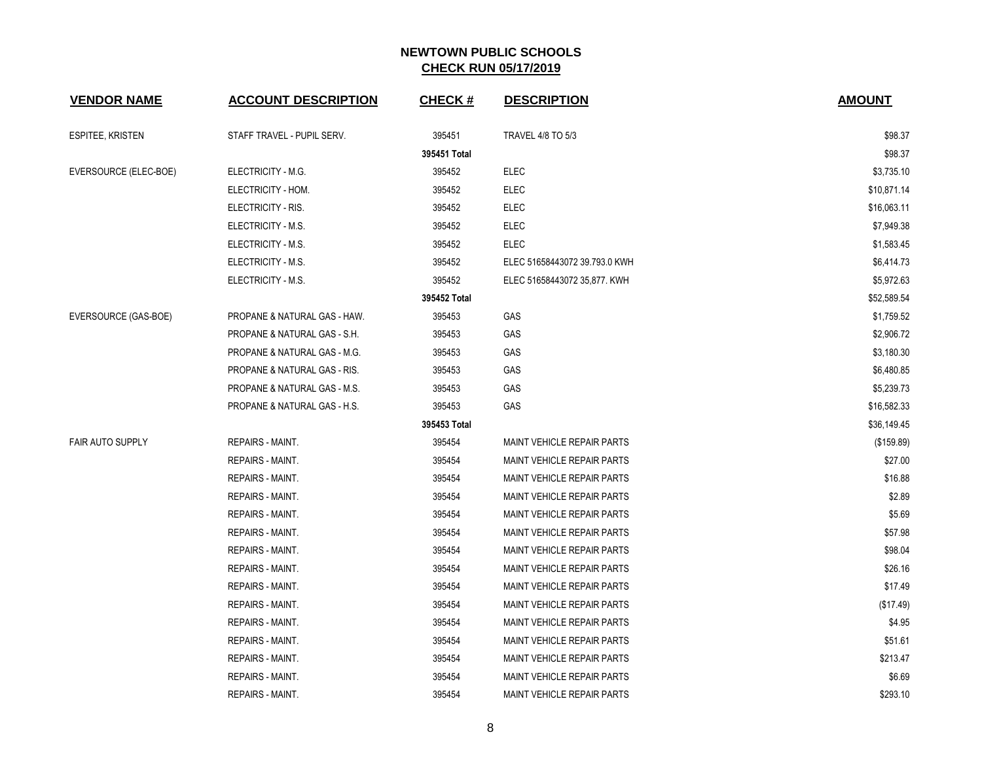| <b>VENDOR NAME</b>    | <b>ACCOUNT DESCRIPTION</b>   | <b>CHECK#</b> | <b>DESCRIPTION</b>                | <b>AMOUNT</b> |
|-----------------------|------------------------------|---------------|-----------------------------------|---------------|
| ESPITEE, KRISTEN      | STAFF TRAVEL - PUPIL SERV.   | 395451        | <b>TRAVEL 4/8 TO 5/3</b>          | \$98.37       |
|                       |                              | 395451 Total  |                                   | \$98.37       |
| EVERSOURCE (ELEC-BOE) | ELECTRICITY - M.G.           | 395452        | <b>ELEC</b>                       | \$3,735.10    |
|                       | ELECTRICITY - HOM.           | 395452        | <b>ELEC</b>                       | \$10,871.14   |
|                       | ELECTRICITY - RIS.           | 395452        | <b>ELEC</b>                       | \$16,063.11   |
|                       | ELECTRICITY - M.S.           | 395452        | <b>ELEC</b>                       | \$7,949.38    |
|                       | ELECTRICITY - M.S.           | 395452        | <b>ELEC</b>                       | \$1,583.45    |
|                       | ELECTRICITY - M.S.           | 395452        | ELEC 51658443072 39.793.0 KWH     | \$6,414.73    |
|                       | ELECTRICITY - M.S.           | 395452        | ELEC 51658443072 35,877. KWH      | \$5,972.63    |
|                       |                              | 395452 Total  |                                   | \$52,589.54   |
| EVERSOURCE (GAS-BOE)  | PROPANE & NATURAL GAS - HAW. | 395453        | GAS                               | \$1,759.52    |
|                       | PROPANE & NATURAL GAS - S.H. | 395453        | GAS                               | \$2,906.72    |
|                       | PROPANE & NATURAL GAS - M.G. | 395453        | GAS                               | \$3,180.30    |
|                       | PROPANE & NATURAL GAS - RIS. | 395453        | GAS                               | \$6,480.85    |
|                       | PROPANE & NATURAL GAS - M.S. | 395453        | GAS                               | \$5,239.73    |
|                       | PROPANE & NATURAL GAS - H.S. | 395453        | GAS                               | \$16,582.33   |
|                       |                              | 395453 Total  |                                   | \$36,149.45   |
| FAIR AUTO SUPPLY      | REPAIRS - MAINT.             | 395454        | <b>MAINT VEHICLE REPAIR PARTS</b> | (\$159.89)    |
|                       | REPAIRS - MAINT.             | 395454        | <b>MAINT VEHICLE REPAIR PARTS</b> | \$27.00       |
|                       | REPAIRS - MAINT.             | 395454        | <b>MAINT VEHICLE REPAIR PARTS</b> | \$16.88       |
|                       | <b>REPAIRS - MAINT.</b>      | 395454        | MAINT VEHICLE REPAIR PARTS        | \$2.89        |
|                       | <b>REPAIRS - MAINT.</b>      | 395454        | <b>MAINT VEHICLE REPAIR PARTS</b> | \$5.69        |
|                       | <b>REPAIRS - MAINT.</b>      | 395454        | <b>MAINT VEHICLE REPAIR PARTS</b> | \$57.98       |
|                       | <b>REPAIRS - MAINT.</b>      | 395454        | MAINT VEHICLE REPAIR PARTS        | \$98.04       |
|                       | REPAIRS - MAINT.             | 395454        | <b>MAINT VEHICLE REPAIR PARTS</b> | \$26.16       |
|                       | REPAIRS - MAINT.             | 395454        | <b>MAINT VEHICLE REPAIR PARTS</b> | \$17.49       |
|                       | REPAIRS - MAINT.             | 395454        | MAINT VEHICLE REPAIR PARTS        | (\$17.49)     |
|                       | REPAIRS - MAINT.             | 395454        | MAINT VEHICLE REPAIR PARTS        | \$4.95        |
|                       | REPAIRS - MAINT.             | 395454        | <b>MAINT VEHICLE REPAIR PARTS</b> | \$51.61       |
|                       | <b>REPAIRS - MAINT.</b>      | 395454        | MAINT VEHICLE REPAIR PARTS        | \$213.47      |
|                       | <b>REPAIRS - MAINT.</b>      | 395454        | MAINT VEHICLE REPAIR PARTS        | \$6.69        |
|                       | <b>REPAIRS - MAINT.</b>      | 395454        | <b>MAINT VEHICLE REPAIR PARTS</b> | \$293.10      |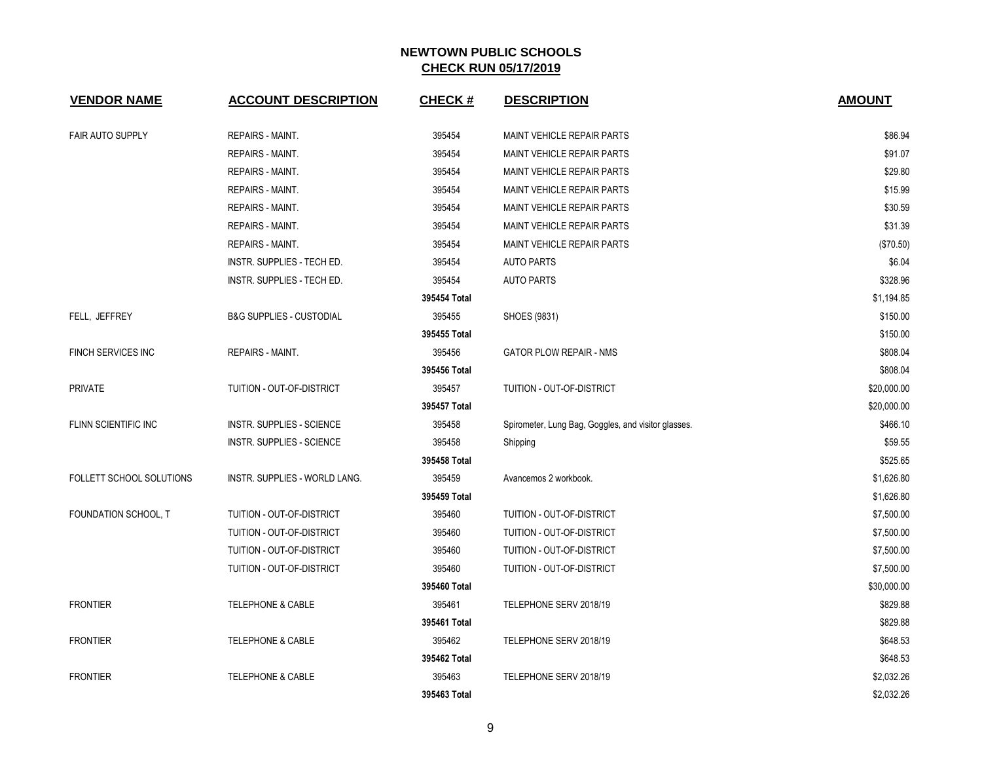| <b>VENDOR NAME</b>              | <b>ACCOUNT DESCRIPTION</b>          | <b>CHECK#</b> | <b>DESCRIPTION</b>                                  | <b>AMOUNT</b> |
|---------------------------------|-------------------------------------|---------------|-----------------------------------------------------|---------------|
| <b>FAIR AUTO SUPPLY</b>         | <b>REPAIRS - MAINT.</b>             | 395454        | <b>MAINT VEHICLE REPAIR PARTS</b>                   | \$86.94       |
|                                 | <b>REPAIRS - MAINT.</b>             | 395454        | MAINT VEHICLE REPAIR PARTS                          | \$91.07       |
|                                 | <b>REPAIRS - MAINT.</b>             | 395454        | MAINT VEHICLE REPAIR PARTS                          | \$29.80       |
|                                 | <b>REPAIRS - MAINT.</b>             | 395454        | MAINT VEHICLE REPAIR PARTS                          | \$15.99       |
|                                 | <b>REPAIRS - MAINT.</b>             | 395454        | <b>MAINT VEHICLE REPAIR PARTS</b>                   | \$30.59       |
|                                 | <b>REPAIRS - MAINT.</b>             | 395454        | <b>MAINT VEHICLE REPAIR PARTS</b>                   | \$31.39       |
|                                 | <b>REPAIRS - MAINT.</b>             | 395454        | <b>MAINT VEHICLE REPAIR PARTS</b>                   | (\$70.50)     |
|                                 | INSTR. SUPPLIES - TECH ED.          | 395454        | <b>AUTO PARTS</b>                                   | \$6.04        |
|                                 | INSTR. SUPPLIES - TECH ED.          | 395454        | <b>AUTO PARTS</b>                                   | \$328.96      |
|                                 |                                     | 395454 Total  |                                                     | \$1,194.85    |
| FELL, JEFFREY                   | <b>B&amp;G SUPPLIES - CUSTODIAL</b> | 395455        | SHOES (9831)                                        | \$150.00      |
|                                 |                                     | 395455 Total  |                                                     | \$150.00      |
| FINCH SERVICES INC              | <b>REPAIRS - MAINT.</b>             | 395456        | <b>GATOR PLOW REPAIR - NMS</b>                      | \$808.04      |
|                                 |                                     | 395456 Total  |                                                     | \$808.04      |
| <b>PRIVATE</b>                  | TUITION - OUT-OF-DISTRICT           | 395457        | TUITION - OUT-OF-DISTRICT                           | \$20,000.00   |
|                                 |                                     | 395457 Total  |                                                     | \$20,000.00   |
| FLINN SCIENTIFIC INC            | INSTR. SUPPLIES - SCIENCE           | 395458        | Spirometer, Lung Bag, Goggles, and visitor glasses. | \$466.10      |
|                                 | INSTR. SUPPLIES - SCIENCE           | 395458        | Shipping                                            | \$59.55       |
|                                 |                                     | 395458 Total  |                                                     | \$525.65      |
| <b>FOLLETT SCHOOL SOLUTIONS</b> | INSTR. SUPPLIES - WORLD LANG.       | 395459        | Avancemos 2 workbook.                               | \$1,626.80    |
|                                 |                                     | 395459 Total  |                                                     | \$1,626.80    |
| FOUNDATION SCHOOL, T            | TUITION - OUT-OF-DISTRICT           | 395460        | TUITION - OUT-OF-DISTRICT                           | \$7,500.00    |
|                                 | TUITION - OUT-OF-DISTRICT           | 395460        | TUITION - OUT-OF-DISTRICT                           | \$7,500.00    |
|                                 | TUITION - OUT-OF-DISTRICT           | 395460        | TUITION - OUT-OF-DISTRICT                           | \$7,500.00    |
|                                 | TUITION - OUT-OF-DISTRICT           | 395460        | TUITION - OUT-OF-DISTRICT                           | \$7,500.00    |
|                                 |                                     | 395460 Total  |                                                     | \$30,000.00   |
| <b>FRONTIER</b>                 | <b>TELEPHONE &amp; CABLE</b>        | 395461        | TELEPHONE SERV 2018/19                              | \$829.88      |
|                                 |                                     | 395461 Total  |                                                     | \$829.88      |
| <b>FRONTIER</b>                 | <b>TELEPHONE &amp; CABLE</b>        | 395462        | TELEPHONE SERV 2018/19                              | \$648.53      |
|                                 |                                     | 395462 Total  |                                                     | \$648.53      |
| <b>FRONTIER</b>                 | <b>TELEPHONE &amp; CABLE</b>        | 395463        | TELEPHONE SERV 2018/19                              | \$2,032.26    |
|                                 |                                     | 395463 Total  |                                                     | \$2,032.26    |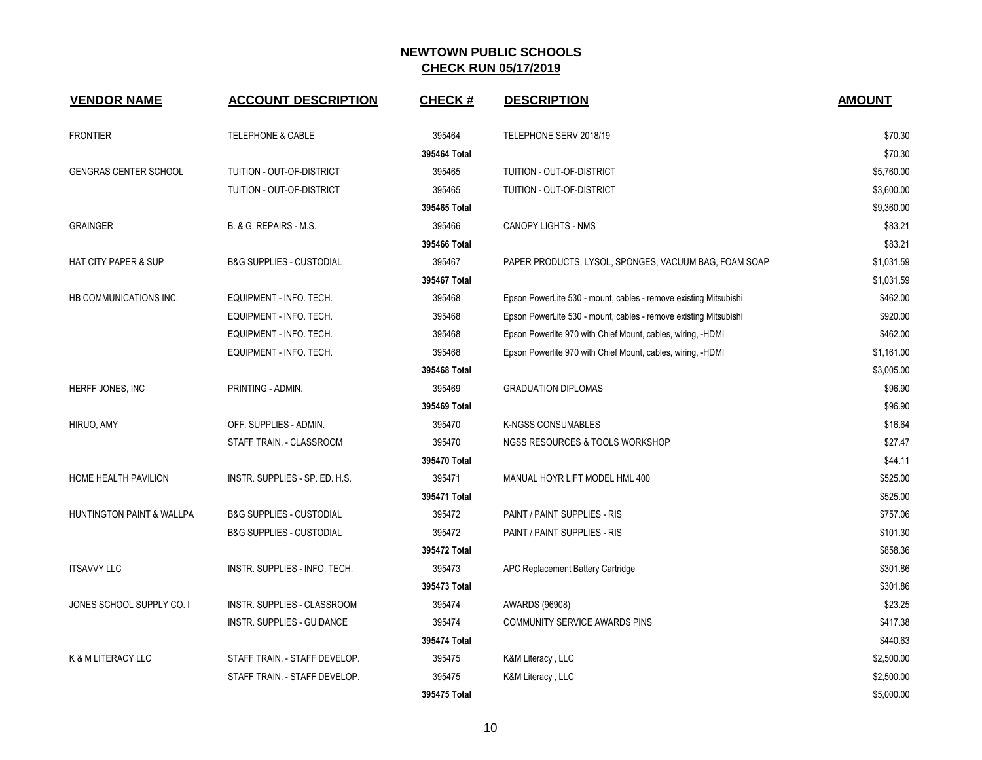| <b>VENDOR NAME</b>              | <b>ACCOUNT DESCRIPTION</b>          | <b>CHECK#</b> | <b>DESCRIPTION</b>                                               | <b>AMOUNT</b> |
|---------------------------------|-------------------------------------|---------------|------------------------------------------------------------------|---------------|
| <b>FRONTIER</b>                 | <b>TELEPHONE &amp; CABLE</b>        | 395464        | TELEPHONE SERV 2018/19                                           | \$70.30       |
|                                 |                                     | 395464 Total  |                                                                  | \$70.30       |
| <b>GENGRAS CENTER SCHOOL</b>    | TUITION - OUT-OF-DISTRICT           | 395465        | TUITION - OUT-OF-DISTRICT                                        | \$5,760.00    |
|                                 | TUITION - OUT-OF-DISTRICT           | 395465        | TUITION - OUT-OF-DISTRICT                                        | \$3,600.00    |
|                                 |                                     | 395465 Total  |                                                                  | \$9,360.00    |
| <b>GRAINGER</b>                 | B. & G. REPAIRS - M.S.              | 395466        | <b>CANOPY LIGHTS - NMS</b>                                       | \$83.21       |
|                                 |                                     | 395466 Total  |                                                                  | \$83.21       |
| <b>HAT CITY PAPER &amp; SUP</b> | <b>B&amp;G SUPPLIES - CUSTODIAL</b> | 395467        | PAPER PRODUCTS, LYSOL, SPONGES, VACUUM BAG, FOAM SOAP            | \$1,031.59    |
|                                 |                                     | 395467 Total  |                                                                  | \$1,031.59    |
| HB COMMUNICATIONS INC.          | EQUIPMENT - INFO. TECH.             | 395468        | Epson PowerLite 530 - mount, cables - remove existing Mitsubishi | \$462.00      |
|                                 | EQUIPMENT - INFO. TECH.             | 395468        | Epson PowerLite 530 - mount, cables - remove existing Mitsubishi | \$920.00      |
|                                 | EQUIPMENT - INFO. TECH.             | 395468        | Epson Powerlite 970 with Chief Mount, cables, wiring, -HDMI      | \$462.00      |
|                                 | EQUIPMENT - INFO. TECH.             | 395468        | Epson Powerlite 970 with Chief Mount, cables, wiring, -HDMI      | \$1,161.00    |
|                                 |                                     | 395468 Total  |                                                                  | \$3,005.00    |
| HERFF JONES, INC                | PRINTING - ADMIN.                   | 395469        | <b>GRADUATION DIPLOMAS</b>                                       | \$96.90       |
|                                 |                                     | 395469 Total  |                                                                  | \$96.90       |
| HIRUO, AMY                      | OFF. SUPPLIES - ADMIN.              | 395470        | K-NGSS CONSUMABLES                                               | \$16.64       |
|                                 | STAFF TRAIN. - CLASSROOM            | 395470        | NGSS RESOURCES & TOOLS WORKSHOP                                  | \$27.47       |
|                                 |                                     | 395470 Total  |                                                                  | \$44.11       |
| HOME HEALTH PAVILION            | INSTR. SUPPLIES - SP. ED. H.S.      | 395471        | MANUAL HOYR LIFT MODEL HML 400                                   | \$525.00      |
|                                 |                                     | 395471 Total  |                                                                  | \$525.00      |
| HUNTINGTON PAINT & WALLPA       | <b>B&amp;G SUPPLIES - CUSTODIAL</b> | 395472        | PAINT / PAINT SUPPLIES - RIS                                     | \$757.06      |
|                                 | <b>B&amp;G SUPPLIES - CUSTODIAL</b> | 395472        | PAINT / PAINT SUPPLIES - RIS                                     | \$101.30      |
|                                 |                                     | 395472 Total  |                                                                  | \$858.36      |
| <b>ITSAVVY LLC</b>              | INSTR. SUPPLIES - INFO. TECH.       | 395473        | APC Replacement Battery Cartridge                                | \$301.86      |
|                                 |                                     | 395473 Total  |                                                                  | \$301.86      |
| JONES SCHOOL SUPPLY CO. I       | INSTR. SUPPLIES - CLASSROOM         | 395474        | AWARDS (96908)                                                   | \$23.25       |
|                                 | INSTR. SUPPLIES - GUIDANCE          | 395474        | <b>COMMUNITY SERVICE AWARDS PINS</b>                             | \$417.38      |
|                                 |                                     | 395474 Total  |                                                                  | \$440.63      |
| K & M LITERACY LLC              | STAFF TRAIN. - STAFF DEVELOP.       | 395475        | K&M Literacy, LLC                                                | \$2,500.00    |
|                                 | STAFF TRAIN. - STAFF DEVELOP.       | 395475        | K&M Literacy, LLC                                                | \$2,500.00    |
|                                 |                                     | 395475 Total  |                                                                  | \$5,000.00    |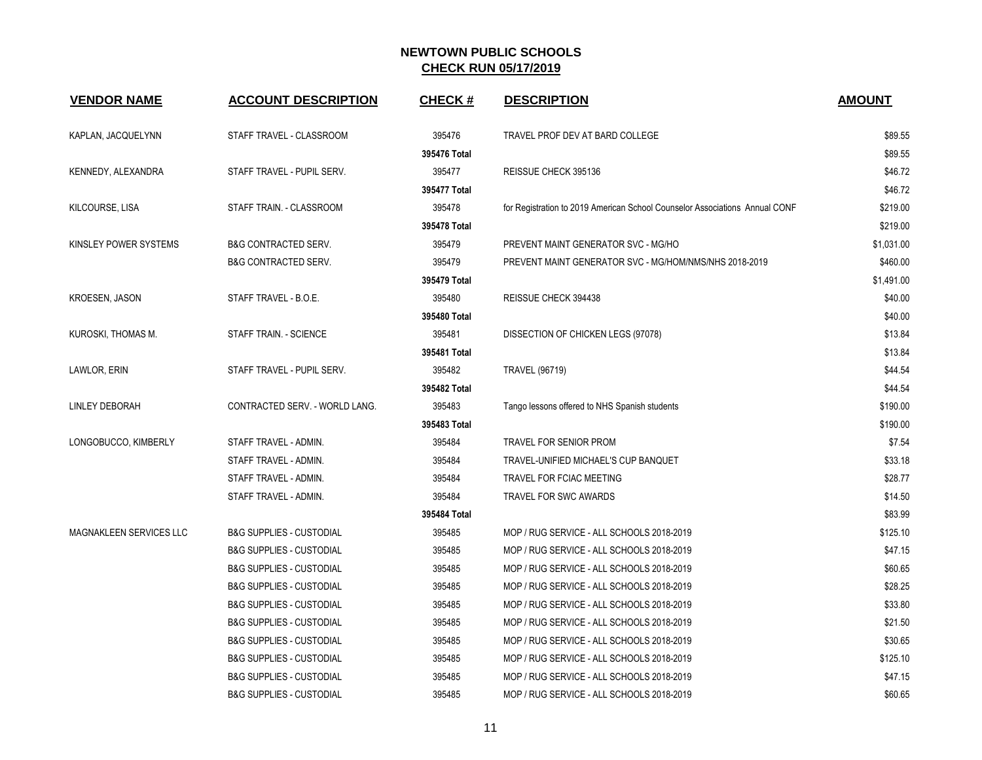| <b>VENDOR NAME</b>      | <b>ACCOUNT DESCRIPTION</b>          | <b>CHECK#</b> | <b>DESCRIPTION</b>                                                          | <b>AMOUNT</b> |
|-------------------------|-------------------------------------|---------------|-----------------------------------------------------------------------------|---------------|
| KAPLAN, JACQUELYNN      | STAFF TRAVEL - CLASSROOM            | 395476        | TRAVEL PROF DEV AT BARD COLLEGE                                             | \$89.55       |
|                         |                                     | 395476 Total  |                                                                             | \$89.55       |
| KENNEDY, ALEXANDRA      | STAFF TRAVEL - PUPIL SERV.          | 395477        | REISSUE CHECK 395136                                                        | \$46.72       |
|                         |                                     | 395477 Total  |                                                                             | \$46.72       |
| KILCOURSE, LISA         | STAFF TRAIN. - CLASSROOM            | 395478        | for Registration to 2019 American School Counselor Associations Annual CONF | \$219.00      |
|                         |                                     | 395478 Total  |                                                                             | \$219.00      |
| KINSLEY POWER SYSTEMS   | <b>B&amp;G CONTRACTED SERV.</b>     | 395479        | PREVENT MAINT GENERATOR SVC - MG/HO                                         | \$1,031.00    |
|                         | <b>B&amp;G CONTRACTED SERV.</b>     | 395479        | PREVENT MAINT GENERATOR SVC - MG/HOM/NMS/NHS 2018-2019                      | \$460.00      |
|                         |                                     | 395479 Total  |                                                                             | \$1,491.00    |
| <b>KROESEN, JASON</b>   | STAFF TRAVEL - B.O.E.               | 395480        | REISSUE CHECK 394438                                                        | \$40.00       |
|                         |                                     | 395480 Total  |                                                                             | \$40.00       |
| KUROSKI, THOMAS M.      | STAFF TRAIN. - SCIENCE              | 395481        | DISSECTION OF CHICKEN LEGS (97078)                                          | \$13.84       |
|                         |                                     | 395481 Total  |                                                                             | \$13.84       |
| LAWLOR, ERIN            | STAFF TRAVEL - PUPIL SERV.          | 395482        | <b>TRAVEL (96719)</b>                                                       | \$44.54       |
|                         |                                     | 395482 Total  |                                                                             | \$44.54       |
| LINLEY DEBORAH          | CONTRACTED SERV. - WORLD LANG.      | 395483        | Tango lessons offered to NHS Spanish students                               | \$190.00      |
|                         |                                     | 395483 Total  |                                                                             | \$190.00      |
| LONGOBUCCO, KIMBERLY    | STAFF TRAVEL - ADMIN.               | 395484        | TRAVEL FOR SENIOR PROM                                                      | \$7.54        |
|                         | STAFF TRAVEL - ADMIN.               | 395484        | TRAVEL-UNIFIED MICHAEL'S CUP BANQUET                                        | \$33.18       |
|                         | STAFF TRAVEL - ADMIN.               | 395484        | <b>TRAVEL FOR FCIAC MEETING</b>                                             | \$28.77       |
|                         | STAFF TRAVEL - ADMIN.               | 395484        | TRAVEL FOR SWC AWARDS                                                       | \$14.50       |
|                         |                                     | 395484 Total  |                                                                             | \$83.99       |
| MAGNAKLEEN SERVICES LLC | <b>B&amp;G SUPPLIES - CUSTODIAL</b> | 395485        | MOP / RUG SERVICE - ALL SCHOOLS 2018-2019                                   | \$125.10      |
|                         | <b>B&amp;G SUPPLIES - CUSTODIAL</b> | 395485        | MOP / RUG SERVICE - ALL SCHOOLS 2018-2019                                   | \$47.15       |
|                         | <b>B&amp;G SUPPLIES - CUSTODIAL</b> | 395485        | MOP / RUG SERVICE - ALL SCHOOLS 2018-2019                                   | \$60.65       |
|                         | <b>B&amp;G SUPPLIES - CUSTODIAL</b> | 395485        | MOP / RUG SERVICE - ALL SCHOOLS 2018-2019                                   | \$28.25       |
|                         | <b>B&amp;G SUPPLIES - CUSTODIAL</b> | 395485        | MOP / RUG SERVICE - ALL SCHOOLS 2018-2019                                   | \$33.80       |
|                         | <b>B&amp;G SUPPLIES - CUSTODIAL</b> | 395485        | MOP / RUG SERVICE - ALL SCHOOLS 2018-2019                                   | \$21.50       |
|                         | <b>B&amp;G SUPPLIES - CUSTODIAL</b> | 395485        | MOP / RUG SERVICE - ALL SCHOOLS 2018-2019                                   | \$30.65       |
|                         | <b>B&amp;G SUPPLIES - CUSTODIAL</b> | 395485        | MOP / RUG SERVICE - ALL SCHOOLS 2018-2019                                   | \$125.10      |
|                         | <b>B&amp;G SUPPLIES - CUSTODIAL</b> | 395485        | MOP / RUG SERVICE - ALL SCHOOLS 2018-2019                                   | \$47.15       |
|                         | <b>B&amp;G SUPPLIES - CUSTODIAL</b> | 395485        | MOP / RUG SERVICE - ALL SCHOOLS 2018-2019                                   | \$60.65       |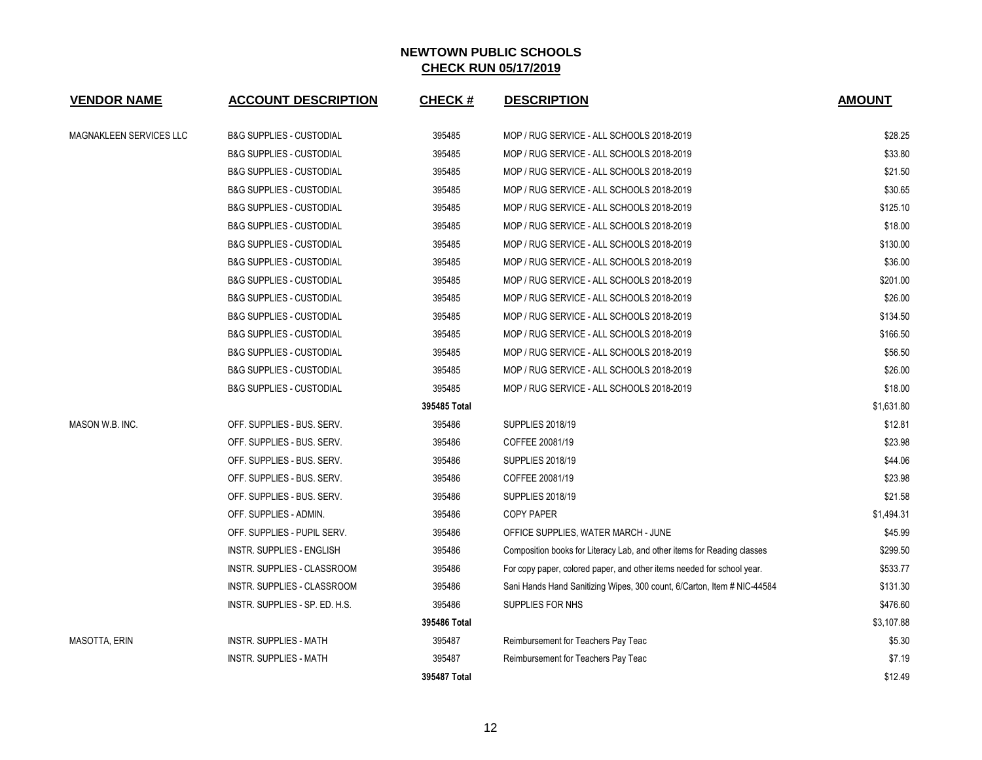| <b>VENDOR NAME</b>             | <b>ACCOUNT DESCRIPTION</b>          | <b>CHECK#</b> | <b>DESCRIPTION</b>                                                      | <b>AMOUNT</b> |
|--------------------------------|-------------------------------------|---------------|-------------------------------------------------------------------------|---------------|
| <b>MAGNAKLEEN SERVICES LLC</b> | <b>B&amp;G SUPPLIES - CUSTODIAL</b> | 395485        | MOP / RUG SERVICE - ALL SCHOOLS 2018-2019                               | \$28.25       |
|                                | <b>B&amp;G SUPPLIES - CUSTODIAL</b> | 395485        | MOP / RUG SERVICE - ALL SCHOOLS 2018-2019                               | \$33.80       |
|                                | <b>B&amp;G SUPPLIES - CUSTODIAL</b> | 395485        | MOP / RUG SERVICE - ALL SCHOOLS 2018-2019                               | \$21.50       |
|                                | <b>B&amp;G SUPPLIES - CUSTODIAL</b> | 395485        | MOP / RUG SERVICE - ALL SCHOOLS 2018-2019                               | \$30.65       |
|                                | <b>B&amp;G SUPPLIES - CUSTODIAL</b> | 395485        | MOP / RUG SERVICE - ALL SCHOOLS 2018-2019                               | \$125.10      |
|                                | <b>B&amp;G SUPPLIES - CUSTODIAL</b> | 395485        | MOP / RUG SERVICE - ALL SCHOOLS 2018-2019                               | \$18.00       |
|                                | <b>B&amp;G SUPPLIES - CUSTODIAL</b> | 395485        | MOP / RUG SERVICE - ALL SCHOOLS 2018-2019                               | \$130.00      |
|                                | <b>B&amp;G SUPPLIES - CUSTODIAL</b> | 395485        | MOP / RUG SERVICE - ALL SCHOOLS 2018-2019                               | \$36.00       |
|                                | <b>B&amp;G SUPPLIES - CUSTODIAL</b> | 395485        | MOP / RUG SERVICE - ALL SCHOOLS 2018-2019                               | \$201.00      |
|                                | <b>B&amp;G SUPPLIES - CUSTODIAL</b> | 395485        | MOP / RUG SERVICE - ALL SCHOOLS 2018-2019                               | \$26.00       |
|                                | <b>B&amp;G SUPPLIES - CUSTODIAL</b> | 395485        | MOP / RUG SERVICE - ALL SCHOOLS 2018-2019                               | \$134.50      |
|                                | <b>B&amp;G SUPPLIES - CUSTODIAL</b> | 395485        | MOP / RUG SERVICE - ALL SCHOOLS 2018-2019                               | \$166.50      |
|                                | <b>B&amp;G SUPPLIES - CUSTODIAL</b> | 395485        | MOP / RUG SERVICE - ALL SCHOOLS 2018-2019                               | \$56.50       |
|                                | <b>B&amp;G SUPPLIES - CUSTODIAL</b> | 395485        | MOP / RUG SERVICE - ALL SCHOOLS 2018-2019                               | \$26.00       |
|                                | <b>B&amp;G SUPPLIES - CUSTODIAL</b> | 395485        | MOP / RUG SERVICE - ALL SCHOOLS 2018-2019                               | \$18.00       |
|                                |                                     | 395485 Total  |                                                                         | \$1,631.80    |
| MASON W.B. INC.                | OFF. SUPPLIES - BUS. SERV.          | 395486        | <b>SUPPLIES 2018/19</b>                                                 | \$12.81       |
|                                | OFF. SUPPLIES - BUS. SERV.          | 395486        | COFFEE 20081/19                                                         | \$23.98       |
|                                | OFF. SUPPLIES - BUS. SERV.          | 395486        | <b>SUPPLIES 2018/19</b>                                                 | \$44.06       |
|                                | OFF. SUPPLIES - BUS. SERV.          | 395486        | COFFEE 20081/19                                                         | \$23.98       |
|                                | OFF. SUPPLIES - BUS. SERV.          | 395486        | <b>SUPPLIES 2018/19</b>                                                 | \$21.58       |
|                                | OFF. SUPPLIES - ADMIN.              | 395486        | <b>COPY PAPER</b>                                                       | \$1,494.31    |
|                                | OFF. SUPPLIES - PUPIL SERV.         | 395486        | OFFICE SUPPLIES, WATER MARCH - JUNE                                     | \$45.99       |
|                                | <b>INSTR. SUPPLIES - ENGLISH</b>    | 395486        | Composition books for Literacy Lab, and other items for Reading classes | \$299.50      |
|                                | INSTR. SUPPLIES - CLASSROOM         | 395486        | For copy paper, colored paper, and other items needed for school year.  | \$533.77      |
|                                | INSTR. SUPPLIES - CLASSROOM         | 395486        | Sani Hands Hand Sanitizing Wipes, 300 count, 6/Carton, Item # NIC-44584 | \$131.30      |
|                                | INSTR. SUPPLIES - SP. ED. H.S.      | 395486        | SUPPLIES FOR NHS                                                        | \$476.60      |
|                                |                                     | 395486 Total  |                                                                         | \$3,107.88    |
| <b>MASOTTA, ERIN</b>           | <b>INSTR. SUPPLIES - MATH</b>       | 395487        | Reimbursement for Teachers Pay Teac                                     | \$5.30        |
|                                | <b>INSTR. SUPPLIES - MATH</b>       | 395487        | Reimbursement for Teachers Pay Teac                                     | \$7.19        |
|                                |                                     | 395487 Total  |                                                                         | \$12.49       |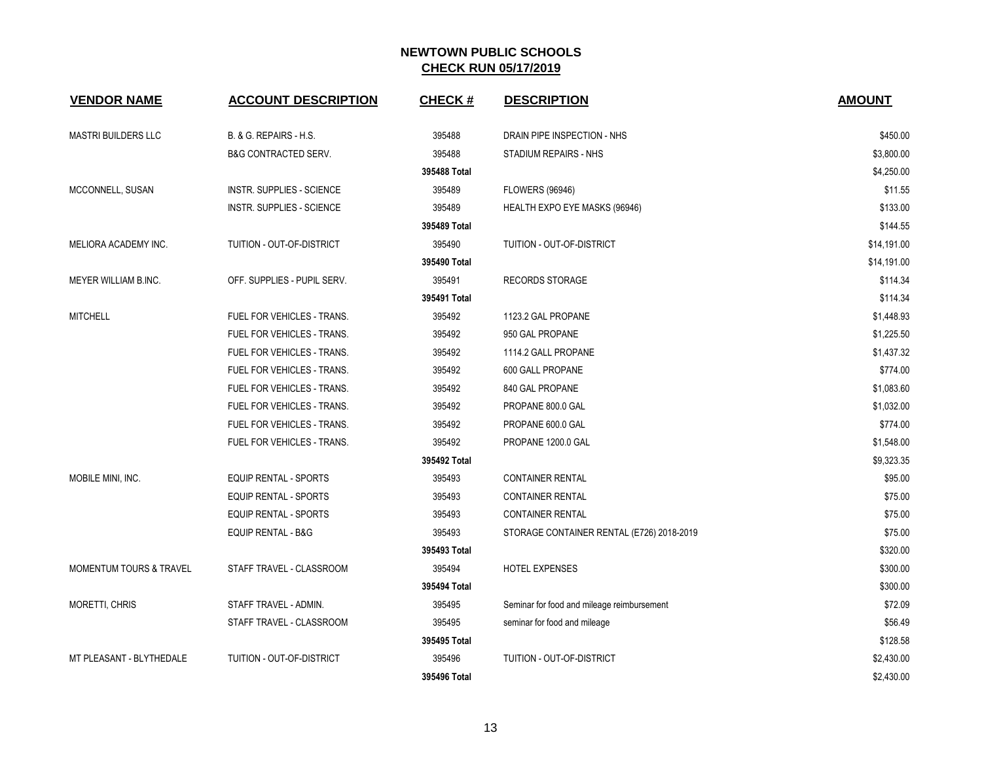| <b>VENDOR NAME</b>                 | <b>ACCOUNT DESCRIPTION</b>       | <b>CHECK#</b> | <b>DESCRIPTION</b>                         | <b>AMOUNT</b> |
|------------------------------------|----------------------------------|---------------|--------------------------------------------|---------------|
| <b>MASTRI BUILDERS LLC</b>         | B. & G. REPAIRS - H.S.           | 395488        | DRAIN PIPE INSPECTION - NHS                | \$450.00      |
|                                    | <b>B&amp;G CONTRACTED SERV.</b>  | 395488        | STADIUM REPAIRS - NHS                      | \$3,800.00    |
|                                    |                                  | 395488 Total  |                                            | \$4,250.00    |
| MCCONNELL, SUSAN                   | <b>INSTR. SUPPLIES - SCIENCE</b> | 395489        | <b>FLOWERS (96946)</b>                     | \$11.55       |
|                                    | <b>INSTR. SUPPLIES - SCIENCE</b> | 395489        | HEALTH EXPO EYE MASKS (96946)              | \$133.00      |
|                                    |                                  | 395489 Total  |                                            | \$144.55      |
| MELIORA ACADEMY INC.               | TUITION - OUT-OF-DISTRICT        | 395490        | TUITION - OUT-OF-DISTRICT                  | \$14,191.00   |
|                                    |                                  | 395490 Total  |                                            | \$14,191.00   |
| MEYER WILLIAM B.INC.               | OFF. SUPPLIES - PUPIL SERV.      | 395491        | <b>RECORDS STORAGE</b>                     | \$114.34      |
|                                    |                                  | 395491 Total  |                                            | \$114.34      |
| <b>MITCHELL</b>                    | FUEL FOR VEHICLES - TRANS.       | 395492        | 1123.2 GAL PROPANE                         | \$1,448.93    |
|                                    | FUEL FOR VEHICLES - TRANS.       | 395492        | 950 GAL PROPANE                            | \$1,225.50    |
|                                    | FUEL FOR VEHICLES - TRANS.       | 395492        | 1114.2 GALL PROPANE                        | \$1,437.32    |
|                                    | FUEL FOR VEHICLES - TRANS.       | 395492        | 600 GALL PROPANE                           | \$774.00      |
|                                    | FUEL FOR VEHICLES - TRANS.       | 395492        | 840 GAL PROPANE                            | \$1,083.60    |
|                                    | FUEL FOR VEHICLES - TRANS.       | 395492        | PROPANE 800.0 GAL                          | \$1,032.00    |
|                                    | FUEL FOR VEHICLES - TRANS.       | 395492        | PROPANE 600.0 GAL                          | \$774.00      |
|                                    | FUEL FOR VEHICLES - TRANS.       | 395492        | PROPANE 1200.0 GAL                         | \$1,548.00    |
|                                    |                                  | 395492 Total  |                                            | \$9,323.35    |
| MOBILE MINI, INC.                  | EQUIP RENTAL - SPORTS            | 395493        | <b>CONTAINER RENTAL</b>                    | \$95.00       |
|                                    | <b>EQUIP RENTAL - SPORTS</b>     | 395493        | <b>CONTAINER RENTAL</b>                    | \$75.00       |
|                                    | <b>EQUIP RENTAL - SPORTS</b>     | 395493        | <b>CONTAINER RENTAL</b>                    | \$75.00       |
|                                    | <b>EQUIP RENTAL - B&amp;G</b>    | 395493        | STORAGE CONTAINER RENTAL (E726) 2018-2019  | \$75.00       |
|                                    |                                  | 395493 Total  |                                            | \$320.00      |
| <b>MOMENTUM TOURS &amp; TRAVEL</b> | STAFF TRAVEL - CLASSROOM         | 395494        | HOTEL EXPENSES                             | \$300.00      |
|                                    |                                  | 395494 Total  |                                            | \$300.00      |
| <b>MORETTI, CHRIS</b>              | STAFF TRAVEL - ADMIN.            | 395495        | Seminar for food and mileage reimbursement | \$72.09       |
|                                    | STAFF TRAVEL - CLASSROOM         | 395495        | seminar for food and mileage               | \$56.49       |
|                                    |                                  | 395495 Total  |                                            | \$128.58      |
| MT PLEASANT - BLYTHEDALE           | TUITION - OUT-OF-DISTRICT        | 395496        | TUITION - OUT-OF-DISTRICT                  | \$2,430.00    |
|                                    |                                  | 395496 Total  |                                            | \$2,430.00    |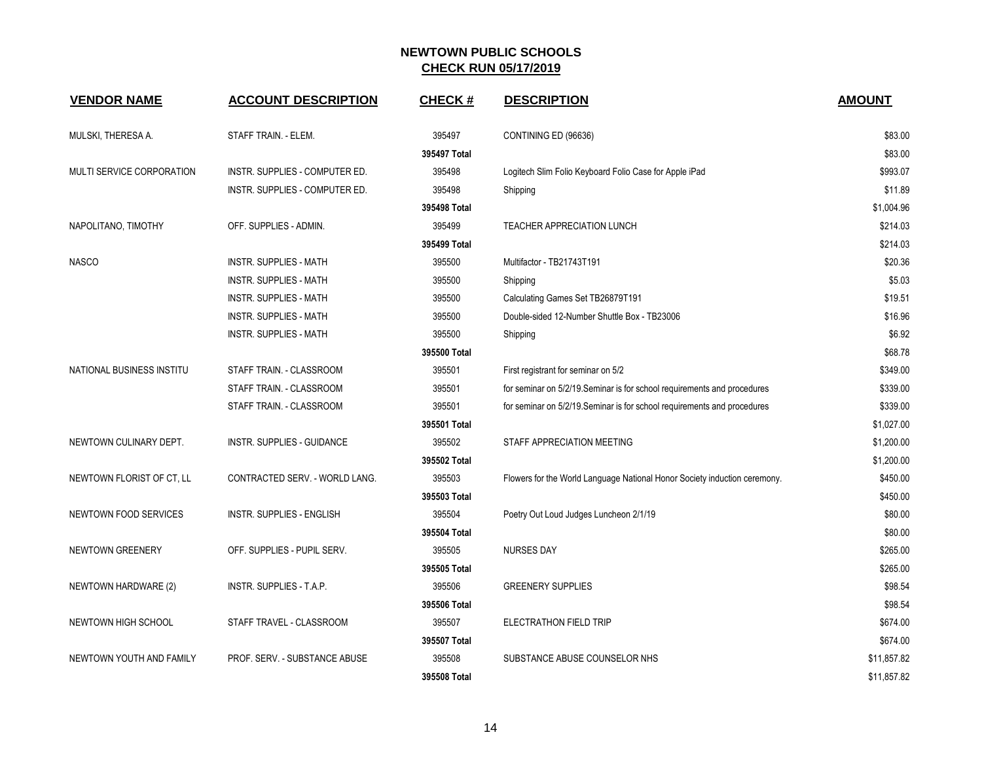| <b>VENDOR NAME</b>               | <b>ACCOUNT DESCRIPTION</b>       | <b>CHECK#</b> | <b>DESCRIPTION</b>                                                        | <b>AMOUNT</b> |
|----------------------------------|----------------------------------|---------------|---------------------------------------------------------------------------|---------------|
| MULSKI, THERESA A.               | STAFF TRAIN. - ELEM.             | 395497        | CONTINING ED (96636)                                                      | \$83.00       |
|                                  |                                  | 395497 Total  |                                                                           | \$83.00       |
| <b>MULTI SERVICE CORPORATION</b> | INSTR. SUPPLIES - COMPUTER ED.   | 395498        | Logitech Slim Folio Keyboard Folio Case for Apple iPad                    | \$993.07      |
|                                  | INSTR. SUPPLIES - COMPUTER ED.   | 395498        | Shipping                                                                  | \$11.89       |
|                                  |                                  | 395498 Total  |                                                                           | \$1,004.96    |
| NAPOLITANO, TIMOTHY              | OFF. SUPPLIES - ADMIN.           | 395499        | TEACHER APPRECIATION LUNCH                                                | \$214.03      |
|                                  |                                  | 395499 Total  |                                                                           | \$214.03      |
| <b>NASCO</b>                     | <b>INSTR. SUPPLIES - MATH</b>    | 395500        | Multifactor - TB21743T191                                                 | \$20.36       |
|                                  | <b>INSTR. SUPPLIES - MATH</b>    | 395500        | Shipping                                                                  | \$5.03        |
|                                  | <b>INSTR. SUPPLIES - MATH</b>    | 395500        | Calculating Games Set TB26879T191                                         | \$19.51       |
|                                  | <b>INSTR. SUPPLIES - MATH</b>    | 395500        | Double-sided 12-Number Shuttle Box - TB23006                              | \$16.96       |
|                                  | <b>INSTR. SUPPLIES - MATH</b>    | 395500        | Shipping                                                                  | \$6.92        |
|                                  |                                  | 395500 Total  |                                                                           | \$68.78       |
| NATIONAL BUSINESS INSTITU        | STAFF TRAIN. - CLASSROOM         | 395501        | First registrant for seminar on 5/2                                       | \$349.00      |
|                                  | STAFF TRAIN. - CLASSROOM         | 395501        | for seminar on 5/2/19. Seminar is for school requirements and procedures  | \$339.00      |
|                                  | STAFF TRAIN. - CLASSROOM         | 395501        | for seminar on 5/2/19. Seminar is for school requirements and procedures  | \$339.00      |
|                                  |                                  | 395501 Total  |                                                                           | \$1,027.00    |
| NEWTOWN CULINARY DEPT.           | INSTR. SUPPLIES - GUIDANCE       | 395502        | STAFF APPRECIATION MEETING                                                | \$1,200.00    |
|                                  |                                  | 395502 Total  |                                                                           | \$1,200.00    |
| NEWTOWN FLORIST OF CT, LL        | CONTRACTED SERV. - WORLD LANG.   | 395503        | Flowers for the World Language National Honor Society induction ceremony. | \$450.00      |
|                                  |                                  | 395503 Total  |                                                                           | \$450.00      |
| NEWTOWN FOOD SERVICES            | <b>INSTR. SUPPLIES - ENGLISH</b> | 395504        | Poetry Out Loud Judges Luncheon 2/1/19                                    | \$80.00       |
|                                  |                                  | 395504 Total  |                                                                           | \$80.00       |
| NEWTOWN GREENERY                 | OFF. SUPPLIES - PUPIL SERV.      | 395505        | <b>NURSES DAY</b>                                                         | \$265.00      |
|                                  |                                  | 395505 Total  |                                                                           | \$265.00      |
| NEWTOWN HARDWARE (2)             | <b>INSTR. SUPPLIES - T.A.P.</b>  | 395506        | <b>GREENERY SUPPLIES</b>                                                  | \$98.54       |
|                                  |                                  | 395506 Total  |                                                                           | \$98.54       |
| NEWTOWN HIGH SCHOOL              | STAFF TRAVEL - CLASSROOM         | 395507        | ELECTRATHON FIELD TRIP                                                    | \$674.00      |
|                                  |                                  | 395507 Total  |                                                                           | \$674.00      |
| NEWTOWN YOUTH AND FAMILY         | PROF. SERV. - SUBSTANCE ABUSE    | 395508        | SUBSTANCE ABUSE COUNSELOR NHS                                             | \$11,857.82   |
|                                  |                                  | 395508 Total  |                                                                           | \$11,857.82   |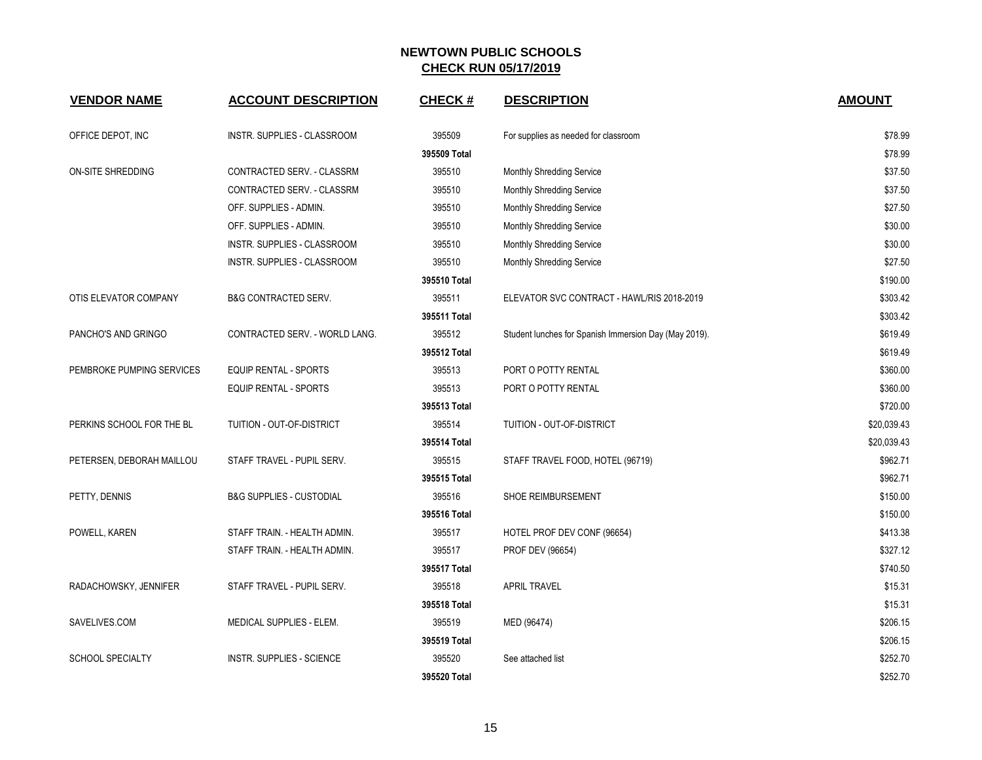| <b>VENDOR NAME</b>        | <b>ACCOUNT DESCRIPTION</b>          | <b>CHECK#</b> | <b>DESCRIPTION</b>                                    | <b>AMOUNT</b> |
|---------------------------|-------------------------------------|---------------|-------------------------------------------------------|---------------|
| OFFICE DEPOT, INC         | INSTR. SUPPLIES - CLASSROOM         | 395509        | For supplies as needed for classroom                  | \$78.99       |
|                           |                                     | 395509 Total  |                                                       | \$78.99       |
| ON-SITE SHREDDING         | CONTRACTED SERV. - CLASSRM          | 395510        | Monthly Shredding Service                             | \$37.50       |
|                           | CONTRACTED SERV. - CLASSRM          | 395510        | Monthly Shredding Service                             | \$37.50       |
|                           | OFF. SUPPLIES - ADMIN.              | 395510        | Monthly Shredding Service                             | \$27.50       |
|                           | OFF. SUPPLIES - ADMIN.              | 395510        | Monthly Shredding Service                             | \$30.00       |
|                           | INSTR. SUPPLIES - CLASSROOM         | 395510        | Monthly Shredding Service                             | \$30.00       |
|                           | INSTR. SUPPLIES - CLASSROOM         | 395510        | Monthly Shredding Service                             | \$27.50       |
|                           |                                     | 395510 Total  |                                                       | \$190.00      |
| OTIS ELEVATOR COMPANY     | <b>B&amp;G CONTRACTED SERV.</b>     | 395511        | ELEVATOR SVC CONTRACT - HAWL/RIS 2018-2019            | \$303.42      |
|                           |                                     | 395511 Total  |                                                       | \$303.42      |
| PANCHO'S AND GRINGO       | CONTRACTED SERV. - WORLD LANG.      | 395512        | Student lunches for Spanish Immersion Day (May 2019). | \$619.49      |
|                           |                                     | 395512 Total  |                                                       | \$619.49      |
| PEMBROKE PUMPING SERVICES | <b>EQUIP RENTAL - SPORTS</b>        | 395513        | PORT O POTTY RENTAL                                   | \$360.00      |
|                           | <b>EQUIP RENTAL - SPORTS</b>        | 395513        | PORT O POTTY RENTAL                                   | \$360.00      |
|                           |                                     | 395513 Total  |                                                       | \$720.00      |
| PERKINS SCHOOL FOR THE BL | TUITION - OUT-OF-DISTRICT           | 395514        | TUITION - OUT-OF-DISTRICT                             | \$20,039.43   |
|                           |                                     | 395514 Total  |                                                       | \$20,039.43   |
| PETERSEN, DEBORAH MAILLOU | STAFF TRAVEL - PUPIL SERV.          | 395515        | STAFF TRAVEL FOOD, HOTEL (96719)                      | \$962.71      |
|                           |                                     | 395515 Total  |                                                       | \$962.71      |
| PETTY, DENNIS             | <b>B&amp;G SUPPLIES - CUSTODIAL</b> | 395516        | SHOE REIMBURSEMENT                                    | \$150.00      |
|                           |                                     | 395516 Total  |                                                       | \$150.00      |
| POWELL, KAREN             | STAFF TRAIN. - HEALTH ADMIN.        | 395517        | HOTEL PROF DEV CONF (96654)                           | \$413.38      |
|                           | STAFF TRAIN. - HEALTH ADMIN.        | 395517        | PROF DEV (96654)                                      | \$327.12      |
|                           |                                     | 395517 Total  |                                                       | \$740.50      |
| RADACHOWSKY, JENNIFER     | STAFF TRAVEL - PUPIL SERV.          | 395518        | <b>APRIL TRAVEL</b>                                   | \$15.31       |
|                           |                                     | 395518 Total  |                                                       | \$15.31       |
| SAVELIVES.COM             | MEDICAL SUPPLIES - ELEM.            | 395519        | MED (96474)                                           | \$206.15      |
|                           |                                     | 395519 Total  |                                                       | \$206.15      |
| <b>SCHOOL SPECIALTY</b>   | <b>INSTR. SUPPLIES - SCIENCE</b>    | 395520        | See attached list                                     | \$252.70      |
|                           |                                     | 395520 Total  |                                                       | \$252.70      |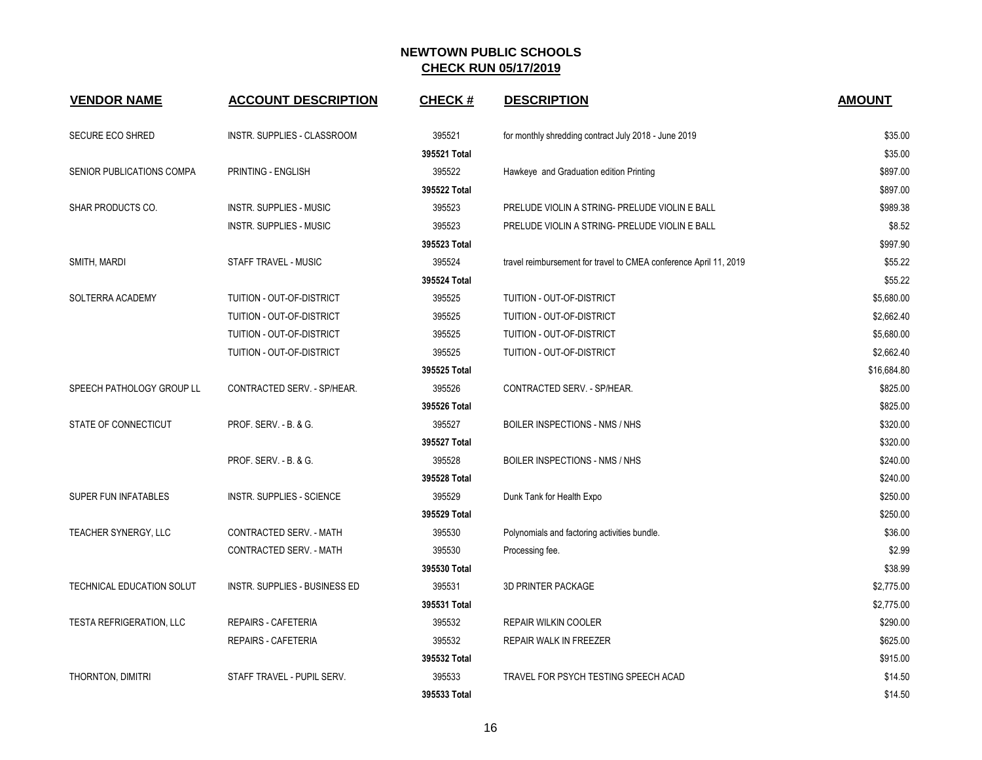| <b>VENDOR NAME</b>              | <b>ACCOUNT DESCRIPTION</b>       | <b>CHECK#</b> | <b>DESCRIPTION</b>                                                | <b>AMOUNT</b> |
|---------------------------------|----------------------------------|---------------|-------------------------------------------------------------------|---------------|
| SECURE ECO SHRED                | INSTR. SUPPLIES - CLASSROOM      | 395521        | for monthly shredding contract July 2018 - June 2019              | \$35.00       |
|                                 |                                  | 395521 Total  |                                                                   | \$35.00       |
| SENIOR PUBLICATIONS COMPA       | PRINTING - ENGLISH               | 395522        | Hawkeye and Graduation edition Printing                           | \$897.00      |
|                                 |                                  | 395522 Total  |                                                                   | \$897.00      |
| <b>SHAR PRODUCTS CO.</b>        | <b>INSTR. SUPPLIES - MUSIC</b>   | 395523        | PRELUDE VIOLIN A STRING- PRELUDE VIOLIN E BALL                    | \$989.38      |
|                                 | INSTR. SUPPLIES - MUSIC          | 395523        | PRELUDE VIOLIN A STRING- PRELUDE VIOLIN E BALL                    | \$8.52        |
|                                 |                                  | 395523 Total  |                                                                   | \$997.90      |
| SMITH, MARDI                    | STAFF TRAVEL - MUSIC             | 395524        | travel reimbursement for travel to CMEA conference April 11, 2019 | \$55.22       |
|                                 |                                  | 395524 Total  |                                                                   | \$55.22       |
| SOLTERRA ACADEMY                | TUITION - OUT-OF-DISTRICT        | 395525        | TUITION - OUT-OF-DISTRICT                                         | \$5,680.00    |
|                                 | TUITION - OUT-OF-DISTRICT        | 395525        | TUITION - OUT-OF-DISTRICT                                         | \$2,662.40    |
|                                 | TUITION - OUT-OF-DISTRICT        | 395525        | TUITION - OUT-OF-DISTRICT                                         | \$5,680.00    |
|                                 | TUITION - OUT-OF-DISTRICT        | 395525        | TUITION - OUT-OF-DISTRICT                                         | \$2,662.40    |
|                                 |                                  | 395525 Total  |                                                                   | \$16,684.80   |
| SPEECH PATHOLOGY GROUP LL       | CONTRACTED SERV. - SP/HEAR.      | 395526        | CONTRACTED SERV. - SP/HEAR.                                       | \$825.00      |
|                                 |                                  | 395526 Total  |                                                                   | \$825.00      |
| STATE OF CONNECTICUT            | <b>PROF. SERV. - B. &amp; G.</b> | 395527        | BOILER INSPECTIONS - NMS / NHS                                    | \$320.00      |
|                                 |                                  | 395527 Total  |                                                                   | \$320.00      |
|                                 | PROF. SERV. - B. & G.            | 395528        | BOILER INSPECTIONS - NMS / NHS                                    | \$240.00      |
|                                 |                                  | 395528 Total  |                                                                   | \$240.00      |
| SUPER FUN INFATABLES            | <b>INSTR. SUPPLIES - SCIENCE</b> | 395529        | Dunk Tank for Health Expo                                         | \$250.00      |
|                                 |                                  | 395529 Total  |                                                                   | \$250.00      |
| TEACHER SYNERGY, LLC            | CONTRACTED SERV. - MATH          | 395530        | Polynomials and factoring activities bundle.                      | \$36.00       |
|                                 | CONTRACTED SERV. - MATH          | 395530        | Processing fee.                                                   | \$2.99        |
|                                 |                                  | 395530 Total  |                                                                   | \$38.99       |
| TECHNICAL EDUCATION SOLUT       | INSTR. SUPPLIES - BUSINESS ED    | 395531        | <b>3D PRINTER PACKAGE</b>                                         | \$2,775.00    |
|                                 |                                  | 395531 Total  |                                                                   | \$2,775.00    |
| <b>TESTA REFRIGERATION, LLC</b> | REPAIRS - CAFETERIA              | 395532        | <b>REPAIR WILKIN COOLER</b>                                       | \$290.00      |
|                                 | REPAIRS - CAFETERIA              | 395532        | REPAIR WALK IN FREEZER                                            | \$625.00      |
|                                 |                                  | 395532 Total  |                                                                   | \$915.00      |
| THORNTON, DIMITRI               | STAFF TRAVEL - PUPIL SERV.       | 395533        | TRAVEL FOR PSYCH TESTING SPEECH ACAD                              | \$14.50       |
|                                 |                                  | 395533 Total  |                                                                   | \$14.50       |